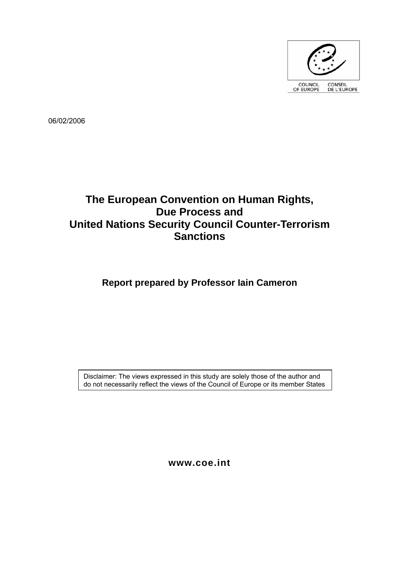

06/02/2006

# **The European Convention on Human Rights, Due Process and United Nations Security Council Counter-Terrorism Sanctions**

# **Report prepared by Professor Iain Cameron**

Disclaimer: The views expressed in this study are solely those of the author and do not necessarily reflect the views of the Council of Europe or its member States

**www.coe.int**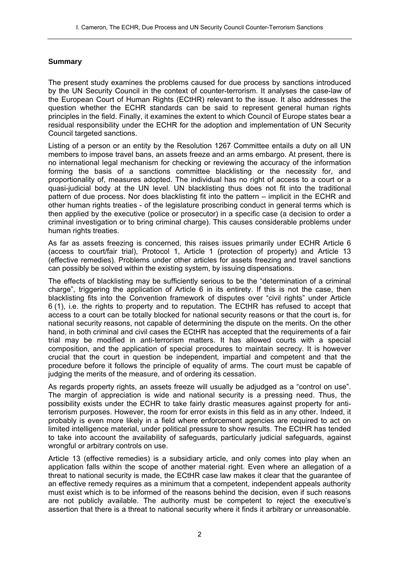## **Summary**

The present study examines the problems caused for due process by sanctions introduced by the UN Security Council in the context of counter-terrorism. It analyses the case-law of the European Court of Human Rights (ECtHR) relevant to the issue. It also addresses the question whether the ECHR standards can be said to represent general human rights principles in the field. Finally, it examines the extent to which Council of Europe states bear a residual responsibility under the ECHR for the adoption and implementation of UN Security Council targeted sanctions.

Listing of a person or an entity by the Resolution 1267 Committee entails a duty on all UN members to impose travel bans, an assets freeze and an arms embargo. At present, there is no international legal mechanism for checking or reviewing the accuracy of the information forming the basis of a sanctions committee blacklisting or the necessity for, and proportionality of, measures adopted. The individual has no right of access to a court or a quasi-judicial body at the UN level. UN blacklisting thus does not fit into the traditional pattern of due process. Nor does blacklisting fit into the pattern – implicit in the ECHR and other human rights treaties - of the legislature proscribing conduct in general terms which is then applied by the executive (police or prosecutor) in a specific case (a decision to order a criminal investigation or to bring criminal charge). This causes considerable problems under human rights treaties.

As far as assets freezing is concerned, this raises issues primarily under ECHR Article 6 (access to court/fair trial), Protocol 1, Article 1 (protection of property) and Article 13 (effective remedies). Problems under other articles for assets freezing and travel sanctions can possibly be solved within the existing system, by issuing dispensations.

The effects of blacklisting may be sufficiently serious to be the "determination of a criminal charge", triggering the application of Article 6 in its entirety. If this is not the case, then blacklisting fits into the Convention framework of disputes over "civil rights" under Article 6 (1), i.e. the rights to property and to reputation. The ECtHR has refused to accept that access to a court can be totally blocked for national security reasons or that the court is, for national security reasons, not capable of determining the dispute on the merits. On the other hand, in both criminal and civil cases the ECtHR has accepted that the requirements of a fair trial may be modified in anti-terrorism matters. It has allowed courts with a special composition, and the application of special procedures to maintain secrecy. It is however crucial that the court in question be independent, impartial and competent and that the procedure before it follows the principle of equality of arms. The court must be capable of judging the merits of the measure, and of ordering its cessation.

As regards property rights, an assets freeze will usually be adjudged as a "control on use". The margin of appreciation is wide and national security is a pressing need. Thus, the possibility exists under the ECHR to take fairly drastic measures against property for antiterrorism purposes. However, the room for error exists in this field as in any other. Indeed, it probably is even more likely in a field where enforcement agencies are required to act on limited intelligence material, under political pressure to show results. The ECtHR has tended to take into account the availability of safeguards, particularly judicial safeguards, against wrongful or arbitrary controls on use.

Article 13 (effective remedies) is a subsidiary article, and only comes into play when an application falls within the scope of another material right. Even where an allegation of a threat to national security is made, the ECtHR case law makes it clear that the guarantee of an effective remedy requires as a minimum that a competent, independent appeals authority must exist which is to be informed of the reasons behind the decision, even if such reasons are not publicly available. The authority must be competent to reject the executive's assertion that there is a threat to national security where it finds it arbitrary or unreasonable.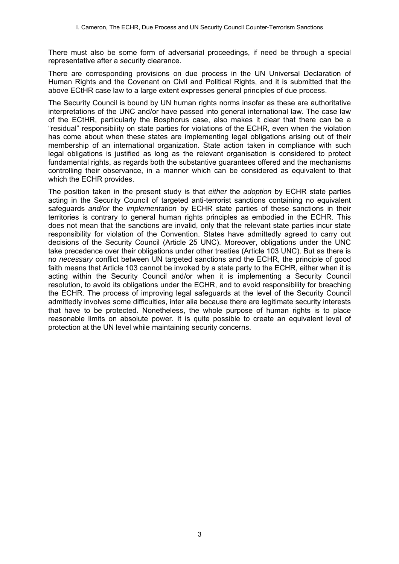There must also be some form of adversarial proceedings, if need be through a special representative after a security clearance.

There are corresponding provisions on due process in the UN Universal Declaration of Human Rights and the Covenant on Civil and Political Rights, and it is submitted that the above ECtHR case law to a large extent expresses general principles of due process.

The Security Council is bound by UN human rights norms insofar as these are authoritative interpretations of the UNC and/or have passed into general international law. The case law of the ECtHR, particularly the Bosphorus case, also makes it clear that there can be a "residual" responsibility on state parties for violations of the ECHR, even when the violation has come about when these states are implementing legal obligations arising out of their membership of an international organization. State action taken in compliance with such legal obligations is justified as long as the relevant organisation is considered to protect fundamental rights, as regards both the substantive guarantees offered and the mechanisms controlling their observance, in a manner which can be considered as equivalent to that which the ECHR provides.

The position taken in the present study is that *either* the *adoption* by ECHR state parties acting in the Security Council of targeted anti-terrorist sanctions containing no equivalent safeguards *and/or* the *implementation* by ECHR state parties of these sanctions in their territories is contrary to general human rights principles as embodied in the ECHR. This does not mean that the sanctions are invalid, only that the relevant state parties incur state responsibility for violation of the Convention. States have admittedly agreed to carry out decisions of the Security Council (Article 25 UNC). Moreover, obligations under the UNC take precedence over their obligations under other treaties (Article 103 UNC). But as there is no *necessary* conflict between UN targeted sanctions and the ECHR, the principle of good faith means that Article 103 cannot be invoked by a state party to the ECHR, either when it is acting within the Security Council and/or when it is implementing a Security Council resolution, to avoid its obligations under the ECHR, and to avoid responsibility for breaching the ECHR. The process of improving legal safeguards at the level of the Security Council admittedly involves some difficulties, inter alia because there are legitimate security interests that have to be protected. Nonetheless, the whole purpose of human rights is to place reasonable limits on absolute power. It is quite possible to create an equivalent level of protection at the UN level while maintaining security concerns.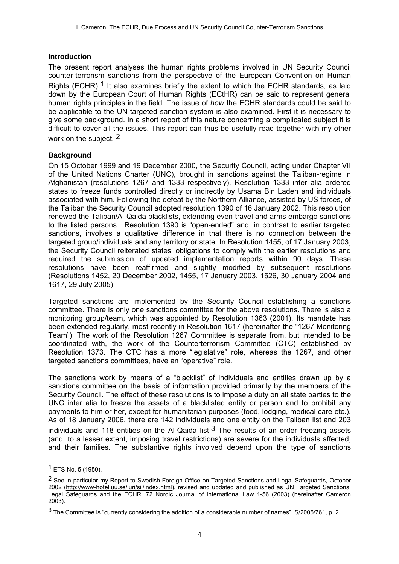#### **Introduction**

The present report analyses the human rights problems involved in UN Security Council counter-terrorism sanctions from the perspective of the European Convention on Human Rights (ECHR).<sup>1</sup> It also examines briefly the extent to which the ECHR standards, as laid down by the European Court of Human Rights (ECtHR) can be said to represent general human rights principles in the field. The issue of *how* the ECHR standards could be said to be applicable to the UN targeted sanction system is also examined. First it is necessary to give some background. In a short report of this nature concerning a complicated subject it is difficult to cover all the issues. This report can thus be usefully read together with my other work on the subject. 2

### **Background**

On 15 October 1999 and 19 December 2000, the Security Council, acting under Chapter VII of the United Nations Charter (UNC), brought in sanctions against the Taliban-regime in Afghanistan (resolutions 1267 and 1333 respectively). Resolution 1333 inter alia ordered states to freeze funds controlled directly or indirectly by Usama Bin Laden and individuals associated with him. Following the defeat by the Northern Alliance, assisted by US forces, of the Taliban the Security Council adopted resolution 1390 of 16 January 2002. This resolution renewed the Taliban/Al-Qaida blacklists, extending even travel and arms embargo sanctions to the listed persons. Resolution 1390 is "open-ended" and, in contrast to earlier targeted sanctions, involves a qualitative difference in that there is no connection between the targeted group/individuals and any territory or state. In Resolution 1455, of 17 January 2003, the Security Council reiterated states' obligations to comply with the earlier resolutions and required the submission of updated implementation reports within 90 days. These resolutions have been reaffirmed and slightly modified by subsequent resolutions (Resolutions 1452, 20 December 2002, 1455, 17 January 2003, 1526, 30 January 2004 and 1617, 29 July 2005).

Targeted sanctions are implemented by the Security Council establishing a sanctions committee. There is only one sanctions committee for the above resolutions. There is also a monitoring group/team, which was appointed by Resolution 1363 (2001). Its mandate has been extended regularly, most recently in Resolution 1617 (hereinafter the "1267 Monitoring Team"). The work of the Resolution 1267 Committee is separate from, but intended to be coordinated with, the work of the Counterterrorism Committee (CTC) established by Resolution 1373. The CTC has a more "legislative" role, whereas the 1267, and other targeted sanctions committees, have an "operative" role.

The sanctions work by means of a "blacklist" of individuals and entities drawn up by a sanctions committee on the basis of information provided primarily by the members of the Security Council. The effect of these resolutions is to impose a duty on all state parties to the UNC inter alia to freeze the assets of a blacklisted entity or person and to prohibit any payments to him or her, except for humanitarian purposes (food, lodging, medical care etc.). As of 18 January 2006, there are 142 individuals and one entity on the Taliban list and 203 individuals and 118 entities on the Al-Qaida list.<sup>3</sup> The results of an order freezing assets (and, to a lesser extent, imposing travel restrictions) are severe for the individuals affected, and their families. The substantive rights involved depend upon the type of sanctions

<sup>1</sup> ETS No. 5 (1950).

<sup>&</sup>lt;sup>2</sup> See in particular my Report to Swedish Foreign Office on Targeted Sanctions and Legal Safeguards, October 2002 (http://www-hotel.uu.se/juri/sii/index.html), revised and updated and published as UN Targeted Sanctions, Legal Safeguards and the ECHR, 72 Nordic Journal of International Law 1-56 (2003) (hereinafter Cameron 2003).

<sup>3</sup> The Committee is "currently considering the addition of a considerable number of names", S/2005/761, p. 2.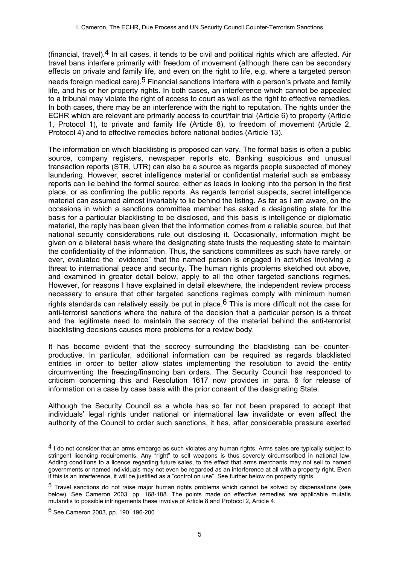(financial, travel). $4$  In all cases, it tends to be civil and political rights which are affected. Air travel bans interfere primarily with freedom of movement (although there can be secondary effects on private and family life, and even on the right to life, e.g. where a targeted person needs foreign medical care).<sup>5</sup> Financial sanctions interfere with a person's private and family life, and his or her property rights. In both cases, an interference which cannot be appealed to a tribunal may violate the right of access to court as well as the right to effective remedies. In both cases, there may be an interference with the right to reputation. The rights under the ECHR which are relevant are primarily access to court/fair trial (Article 6) to property (Article 1, Protocol 1), to private and family life (Article 8), to freedom of movement (Article 2, Protocol 4) and to effective remedies before national bodies (Article 13).

The information on which blacklisting is proposed can vary. The formal basis is often a public source, company registers, newspaper reports etc. Banking suspicious and unusual transaction reports (STR, UTR) can also be a source as regards people suspected of money laundering. However, secret intelligence material or confidential material such as embassy reports can lie behind the formal source, either as leads in looking into the person in the first place, or as confirming the public reports. As regards terrorist suspects, secret intelligence material can assumed almost invariably to lie behind the listing. As far as I am aware, on the occasions in which a sanctions committee member has asked a designating state for the basis for a particular blacklisting to be disclosed, and this basis is intelligence or diplomatic material, the reply has been given that the information comes from a reliable source, but that national security considerations rule out disclosing it. Occasionally, information might be given on a bilateral basis where the designating state trusts the requesting state to maintain the confidentiality of the information. Thus, the sanctions committees as such have rarely, or ever, evaluated the "evidence" that the named person is engaged in activities involving a threat to international peace and security. The human rights problems sketched out above, and examined in greater detail below, apply to all the other targeted sanctions regimes. However, for reasons I have explained in detail elsewhere, the independent review process necessary to ensure that other targeted sanctions regimes comply with minimum human rights standards can relatively easily be put in place.<sup>6</sup> This is more difficult not the case for anti-terrorist sanctions where the nature of the decision that a particular person is a threat and the legitimate need to maintain the secrecy of the material behind the anti-terrorist blacklisting decisions causes more problems for a review body.

It has become evident that the secrecy surrounding the blacklisting can be counterproductive. In particular, additional information can be required as regards blacklisted entities in order to better allow states implementing the resolution to avoid the entity circumventing the freezing/financing ban orders. The Security Council has responded to criticism concerning this and Resolution 1617 now provides in para. 6 for release of information on a case by case basis with the prior consent of the designating State.

Although the Security Council as a whole has so far not been prepared to accept that individuals' legal rights under national or international law invalidate or even affect the authority of the Council to order such sanctions, it has, after considerable pressure exerted

<sup>&</sup>lt;sup>4</sup> I do not consider that an arms embargo as such violates any human rights. Arms sales are typically subject to stringent licencing requirements. Any "right" to sell weapons is thus severely circumscribed in national law. Adding conditions to a licence regarding future sales, to the effect that arms merchants may not sell to named governments or named individuals may not even be regarded as an interference at all with a property right. Even if this is an interference, it will be justified as a "control on use". See further below on property rights.

<sup>5</sup> Travel sanctions do not raise major human rights problems which cannot be solved by dispensations (see below). See Cameron 2003, pp. 168-188. The points made on effective remedies are applicable mutatis mutandis to possible infringements these involve of Article 8 and Protocol 2, Article 4.

<sup>6</sup> See Cameron 2003, pp. 190, 196-200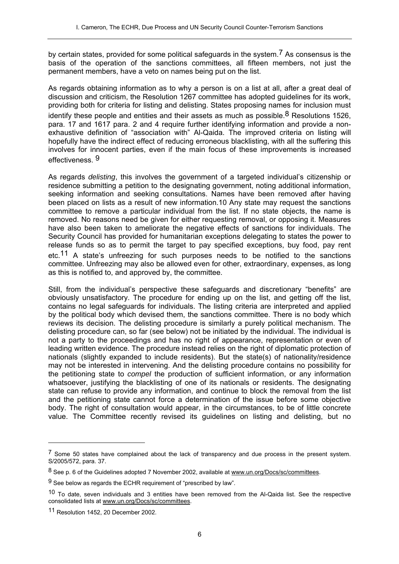by certain states, provided for some political safeguards in the system.7 As consensus is the basis of the operation of the sanctions committees, all fifteen members, not just the permanent members, have a veto on names being put on the list.

As regards obtaining information as to why a person is on a list at all, after a great deal of discussion and criticism, the Resolution 1267 committee has adopted guidelines for its work, providing both for criteria for listing and delisting. States proposing names for inclusion must identify these people and entities and their assets as much as possible.<sup>8</sup> Resolutions 1526, para. 17 and 1617 para. 2 and 4 require further identifying information and provide a nonexhaustive definition of "association with" Al-Qaida. The improved criteria on listing will hopefully have the indirect effect of reducing erroneous blacklisting, with all the suffering this involves for innocent parties, even if the main focus of these improvements is increased effectiveness. 9

As regards *delisting*, this involves the government of a targeted individual's citizenship or residence submitting a petition to the designating government, noting additional information, seeking information and seeking consultations. Names have been removed after having been placed on lists as a result of new information.10 Any state may request the sanctions committee to remove a particular individual from the list. If no state objects, the name is removed. No reasons need be given for either requesting removal, or opposing it. Measures have also been taken to ameliorate the negative effects of sanctions for individuals. The Security Council has provided for humanitarian exceptions delegating to states the power to release funds so as to permit the target to pay specified exceptions, buy food, pay rent etc.11 A state's unfreezing for such purposes needs to be notified to the sanctions committee. Unfreezing may also be allowed even for other, extraordinary, expenses, as long as this is notified to, and approved by, the committee.

Still, from the individual's perspective these safeguards and discretionary "benefits" are obviously unsatisfactory. The procedure for ending up on the list, and getting off the list, contains no legal safeguards for individuals. The listing criteria are interpreted and applied by the political body which devised them, the sanctions committee. There is no body which reviews its decision. The delisting procedure is similarly a purely political mechanism. The delisting procedure can, so far (see below) not be initiated by the individual. The individual is not a party to the proceedings and has no right of appearance, representation or even of leading written evidence. The procedure instead relies on the right of diplomatic protection of nationals (slightly expanded to include residents). But the state(s) of nationality/residence may not be interested in intervening. And the delisting procedure contains no possibility for the petitioning state to *compel* the production of sufficient information, or any information whatsoever, justifying the blacklisting of one of its nationals or residents. The designating state can refuse to provide any information, and continue to block the removal from the list and the petitioning state cannot force a determination of the issue before some objective body. The right of consultation would appear, in the circumstances, to be of little concrete value. The Committee recently revised its guidelines on listing and delisting, but no

 $<sup>7</sup>$  Some 50 states have complained about the lack of transparency and due process in the present system.</sup> S/2005/572, para. 37.

<sup>8</sup> See p. 6 of the Guidelines adopted 7 November 2002, available at www.un.org/Docs/sc/committees.

 $9$  See below as regards the ECHR requirement of "prescribed by law".

<sup>&</sup>lt;sup>10</sup> To date, seven individuals and 3 entities have been removed from the Al-Qaida list. See the respective consolidated lists at www.un.org/Docs/sc/committees.

<sup>11</sup> Resolution 1452, 20 December 2002.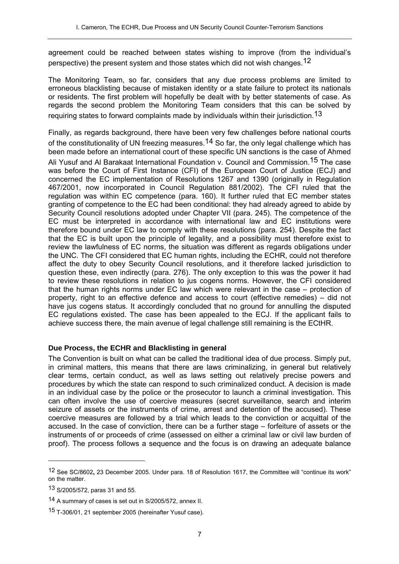agreement could be reached between states wishing to improve (from the individual's perspective) the present system and those states which did not wish changes.12

The Monitoring Team, so far, considers that any due process problems are limited to erroneous blacklisting because of mistaken identity or a state failure to protect its nationals or residents. The first problem will hopefully be dealt with by better statements of case. As regards the second problem the Monitoring Team considers that this can be solved by requiring states to forward complaints made by individuals within their jurisdiction.13

Finally, as regards background, there have been very few challenges before national courts of the constitutionality of UN freezing measures.<sup>14</sup> So far, the only legal challenge which has been made before an international court of these specific UN sanctions is the case of Ahmed Ali Yusuf and Al Barakaat International Foundation v. Council and Commission.<sup>15</sup> The case was before the Court of First Instance (CFI) of the European Court of Justice (ECJ) and concerned the EC implementation of Resolutions 1267 and 1390 (originally in Regulation 467/2001, now incorporated in Council Regulation 881/2002). The CFI ruled that the regulation was within EC competence (para. 160). It further ruled that EC member states granting of competence to the EC had been conditional: they had already agreed to abide by Security Council resolutions adopted under Chapter VII (para. 245). The competence of the EC must be interpreted in accordance with international law and EC institutions were therefore bound under EC law to comply with these resolutions (para. 254). Despite the fact that the EC is built upon the principle of legality, and a possibility must therefore exist to review the lawfulness of EC norms, the situation was different as regards obligations under the UNC. The CFI considered that EC human rights, including the ECHR, could not therefore affect the duty to obey Security Council resolutions, and it therefore lacked jurisdiction to question these, even indirectly (para. 276). The only exception to this was the power it had to review these resolutions in relation to jus cogens norms. However, the CFI considered that the human rights norms under EC law which were relevant in the case – protection of property, right to an effective defence and access to court (effective remedies) – did not have jus cogens status. It accordingly concluded that no ground for annulling the disputed EC regulations existed. The case has been appealed to the ECJ. If the applicant fails to achieve success there, the main avenue of legal challenge still remaining is the ECtHR.

### **Due Process, the ECHR and Blacklisting in general**

The Convention is built on what can be called the traditional idea of due process. Simply put, in criminal matters, this means that there are laws criminalizing, in general but relatively clear terms, certain conduct, as well as laws setting out relatively precise powers and procedures by which the state can respond to such criminalized conduct. A decision is made in an individual case by the police or the prosecutor to launch a criminal investigation. This can often involve the use of coercive measures (secret surveillance, search and interim seizure of assets or the instruments of crime, arrest and detention of the accused). These coercive measures are followed by a trial which leads to the conviction or acquittal of the accused. In the case of conviction, there can be a further stage – forfeiture of assets or the instruments of or proceeds of crime (assessed on either a criminal law or civil law burden of proof). The process follows a sequence and the focus is on drawing an adequate balance

<sup>12</sup> See SC/8602**,** 23 December 2005. Under para. 18 of Resolution 1617, the Committee will "continue its work" on the matter.

<sup>13</sup> S/2005/572, paras 31 and 55.

<sup>14</sup> A summary of cases is set out in S/2005/572, annex II.

<sup>15</sup> T-306/01, 21 september 2005 (hereinafter Yusuf case).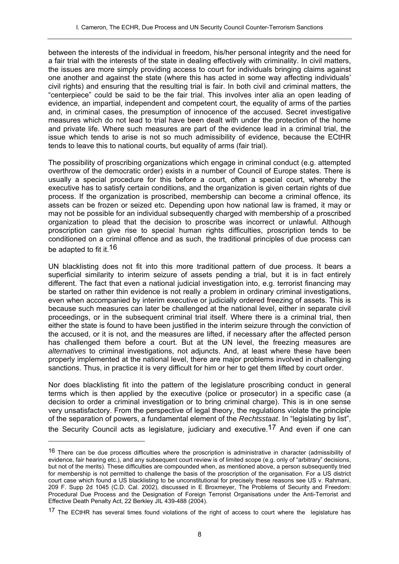between the interests of the individual in freedom, his/her personal integrity and the need for a fair trial with the interests of the state in dealing effectively with criminality. In civil matters, the issues are more simply providing access to court for individuals bringing claims against one another and against the state (where this has acted in some way affecting individuals' civil rights) and ensuring that the resulting trial is fair. In both civil and criminal matters, the "centerpiece" could be said to be the fair trial. This involves inter alia an open leading of evidence, an impartial, independent and competent court, the equality of arms of the parties and, in criminal cases, the presumption of innocence of the accused. Secret investigative measures which do not lead to trial have been dealt with under the protection of the home and private life. Where such measures are part of the evidence lead in a criminal trial, the issue which tends to arise is not so much admissibility of evidence, because the ECtHR tends to leave this to national courts, but equality of arms (fair trial).

The possibility of proscribing organizations which engage in criminal conduct (e.g. attempted overthrow of the democratic order) exists in a number of Council of Europe states. There is usually a special procedure for this before a court, often a special court, whereby the executive has to satisfy certain conditions, and the organization is given certain rights of due process. If the organization is proscribed, membership can become a criminal offence, its assets can be frozen or seized etc. Depending upon how national law is framed, it may or may not be possible for an individual subsequently charged with membership of a proscribed organization to plead that the decision to proscribe was incorrect or unlawful. Although proscription can give rise to special human rights difficulties, proscription tends to be conditioned on a criminal offence and as such, the traditional principles of due process can be adapted to fit it.<sup>16</sup>

UN blacklisting does not fit into this more traditional pattern of due process. It bears a superficial similarity to interim seizure of assets pending a trial, but it is in fact entirely different. The fact that even a national judicial investigation into, e.g. terrorist financing may be started on rather thin evidence is not really a problem in ordinary criminal investigations, even when accompanied by interim executive or judicially ordered freezing of assets. This is because such measures can later be challenged at the national level, either in separate civil proceedings, or in the subsequent criminal trial itself. Where there is a criminal trial, then either the state is found to have been justified in the interim seizure through the conviction of the accused, or it is not, and the measures are lifted, if necessary after the affected person has challenged them before a court. But at the UN level, the freezing measures are *alternatives* to criminal investigations, not adjuncts. And, at least where these have been properly implemented at the national level, there are major problems involved in challenging sanctions. Thus, in practice it is very difficult for him or her to get them lifted by court order.

Nor does blacklisting fit into the pattern of the legislature proscribing conduct in general terms which is then applied by the executive (police or prosecutor) in a specific case (a decision to order a criminal investigation or to bring criminal charge). This is in one sense very unsatisfactory. From the perspective of legal theory, the regulations violate the principle of the separation of powers, a fundamental element of the *Rechtsstaat*. In "legislating by list", the Security Council acts as legislature, judiciary and executive.<sup>17</sup> And even if one can

<sup>&</sup>lt;sup>16</sup> There can be due process difficulties where the proscription is administrative in character (admissibility of evidence, fair hearing etc.), and any subsequent court review is of limited scope (e.g. only of "arbitrary" decisions, but not of the merits). These difficulties are compounded when, as mentioned above, a person subsequently tried for membership is not permitted to challenge the basis of the proscription of the organisation. For a US district court case which found a US blacklisting to be unconstitutional for precisely these reasons see US v. Rahmani, 209 F. Supp 2d 1045 (C.D. Cal. 2002), discussed in E Broxmeyer, The Problems of Security and Freedom: Procedural Due Process and the Designation of Foreign Terrorist Organisations under the Anti-Terrorist and Effective Death Penalty Act, 22 Berkley JIL 439-488 (2004).

<sup>&</sup>lt;sup>17</sup> The ECtHR has several times found violations of the right of access to court where the legislature has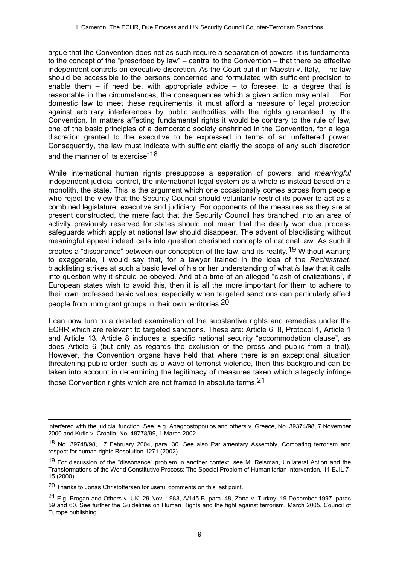argue that the Convention does not as such require a separation of powers, it is fundamental to the concept of the "prescribed by law" – central to the Convention – that there be effective independent controls on executive discretion. As the Court put it in Maestri v. Italy, "The law should be accessible to the persons concerned and formulated with sufficient precision to enable them  $-$  if need be, with appropriate advice  $-$  to foresee, to a degree that is reasonable in the circumstances, the consequences which a given action may entail …For domestic law to meet these requirements, it must afford a measure of legal protection against arbitrary interferences by public authorities with the rights guaranteed by the Convention. In matters affecting fundamental rights it would be contrary to the rule of law, one of the basic principles of a democratic society enshrined in the Convention, for a legal discretion granted to the executive to be expressed in terms of an unfettered power. Consequently, the law must indicate with sufficient clarity the scope of any such discretion and the manner of its exercise"18

While international human rights presuppose a separation of powers, and *meaningful* independent judicial control, the international legal system as a whole is instead based on a monolith, the state. This is the argument which one occasionally comes across from people who reject the view that the Security Council should voluntarily restrict its power to act as a combined legislature, executive and judiciary. For opponents of the measures as they are at present constructed, the mere fact that the Security Council has branched into an area of activity previously reserved for states should not mean that the dearly won due process safeguards which apply at national law should disappear. The advent of blacklisting without meaningful appeal indeed calls into question cherished concepts of national law. As such it creates a "dissonance" between our conception of the law, and its reality.19 Without wanting to exaggerate, I would say that, for a lawyer trained in the idea of the *Rechtsstaat*, blacklisting strikes at such a basic level of his or her understanding of what *is* law that it calls into question why it should be obeyed. And at a time of an alleged "clash of civilizations", if European states wish to avoid this, then it is all the more important for them to adhere to their own professed basic values, especially when targeted sanctions can particularly affect people from immigrant groups in their own territories.20

I can now turn to a detailed examination of the substantive rights and remedies under the ECHR which are relevant to targeted sanctions. These are: Article 6, 8, Protocol 1, Article 1 and Article 13. Article 8 includes a specific national security "accommodation clause", as does Article 6 (but only as regards the exclusion of the press and public from a trial). However, the Convention organs have held that where there is an exceptional situation threatening public order, such as a wave of terrorist violence, then this background can be taken into account in determining the legitimacy of measures taken which allegedly infringe those Convention rights which are not framed in absolute terms.21

 $\overline{a}$ interfered with the judicial function. See, e.g. Anagnostopoulos and others v. Greece, No. 39374/98, 7 November 2000 and Kutic v. Croatia, No. 48778/99, 1 March 2002.

<sup>18</sup> No. 39748/98, 17 February 2004, para. 30. See also Parliamentary Assembly, Combating terrorism and respect for human rights Resolution 1271 (2002).

<sup>&</sup>lt;sup>19</sup> For discussion of the "dissonance" problem in another context, see M. Reisman, Unilateral Action and the Transformations of the World Constitutive Process: The Special Problem of Humanitarian Intervention, 11 EJIL 7- 15 (2000).

<sup>20</sup> Thanks to Jonas Christoffersen for useful comments on this last point.

<sup>21</sup> E.g. Brogan and Others v. UK, 29 Nov. 1988, A/145-B, para. 48, Zana v. Turkey, 19 December 1997, paras 59 and 60. See further the Guidelines on Human Rights and the fight against terrorism, March 2005, Council of Europe publishing.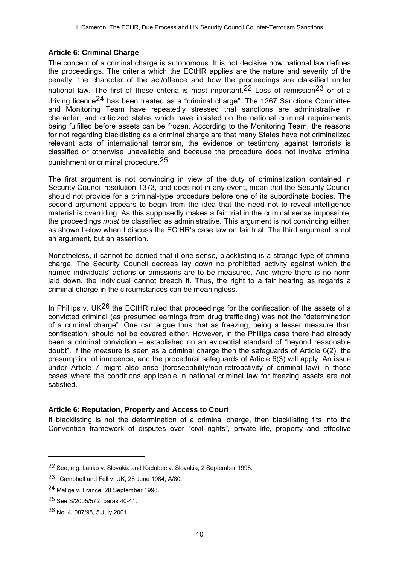### **Article 6: Criminal Charge**

The concept of a criminal charge is autonomous. It is not decisive how national law defines the proceedings. The criteria which the ECtHR applies are the nature and severity of the penalty, the character of the act/offence and how the proceedings are classified under national law. The first of these criteria is most important.<sup>22</sup> Loss of remission<sup>23</sup> or of a driving licence24 has been treated as a "criminal charge". The 1267 Sanctions Committee and Monitoring Team have repeatedly stressed that sanctions are administrative in character, and criticized states which have insisted on the national criminal requirements being fulfilled before assets can be frozen. According to the Monitoring Team, the reasons for not regarding blacklisting as a criminal charge are that many States have not criminalized relevant acts of international terrorism, the evidence or testimony against terrorists is classified or otherwise unavailable and because the procedure does not involve criminal punishment or criminal procedure.25

The first argument is not convincing in view of the duty of criminalization contained in Security Council resolution 1373, and does not in any event, mean that the Security Council should not provide for a criminal-type procedure before one of its subordinate bodies. The second argument appears to begin from the idea that the need not to reveal intelligence material is overriding. As this supposedly makes a fair trial in the criminal sense impossible, the proceedings *must* be classified as administrative. This argument is not convincing either, as shown below when I discuss the ECtHR's case law on fair trial. The third argument is not an argument, but an assertion.

Nonetheless, it cannot be denied that it one sense, blacklisting is a strange type of criminal charge. The Security Council decrees lay down no prohibited activity against which the named individuals' actions or omissions are to be measured. And where there is no norm laid down, the individual cannot breach it. Thus, the right to a fair hearing as regards a criminal charge in the circumstances can be meaningless.

In Phillips v. UK<sup>26</sup> the ECtHR ruled that proceedings for the confiscation of the assets of a convicted criminal (as presumed earnings from drug trafficking) was not the "determination of a criminal charge". One can argue thus that as freezing, being a lesser measure than confiscation, should not be covered either. However, in the Phillips case there had already been a criminal conviction – established on an evidential standard of "beyond reasonable doubt". If the measure is seen as a criminal charge then the safeguards of Article 6(2), the presumption of innocence, and the procedural safeguards of Article 6(3) will apply. An issue under Article 7 might also arise (foreseeability/non-retroactivity of criminal law) in those cases where the conditions applicable in national criminal law for freezing assets are not satisfied.

### **Article 6: Reputation, Property and Access to Court**

If blacklisting is not the determination of a criminal charge, then blacklisting fits into the Convention framework of disputes over "civil rights", private life, property and effective

<sup>22</sup> See, e.g. Lauko v. Slovakia and Kadubec v. Slovakia, 2 September 1998.

<sup>23</sup> Campbell and Fell v. UK, 28 June 1984, A/80.

<sup>24</sup> Malige v. France, 28 September 1998.

<sup>25</sup> See S/2005/572, paras 40-41.

<sup>26</sup> No. 41087/98, 5 July 2001.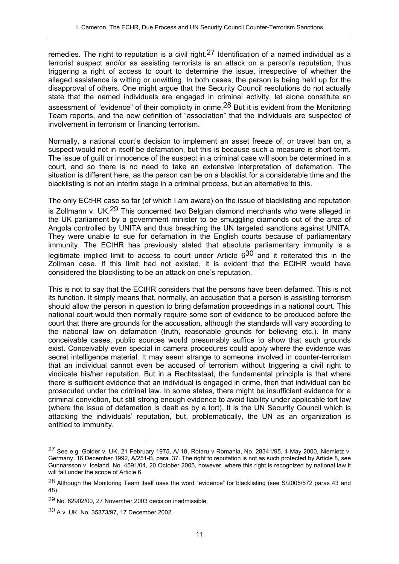remedies. The right to reputation is a civil right.<sup>27</sup> Identification of a named individual as a terrorist suspect and/or as assisting terrorists is an attack on a person's reputation, thus triggering a right of access to court to determine the issue, irrespective of whether the alleged assistance is witting or unwitting. In both cases, the person is being held up for the disapproval of others. One might argue that the Security Council resolutions do not actually state that the named individuals are engaged in criminal activity, let alone constitute an assessment of "evidence" of their complicity in crime.<sup>28</sup> But it is evident from the Monitoring Team reports, and the new definition of "association" that the individuals are suspected of involvement in terrorism or financing terrorism.

Normally, a national court's decision to implement an asset freeze of, or travel ban on, a suspect would not in itself be defamation, but this is because such a measure is short-term. The issue of guilt or innocence of the suspect in a criminal case will soon be determined in a court, and so there is no need to take an extensive interpretation of defamation. The situation is different here, as the person can be on a blacklist for a considerable time and the blacklisting is not an interim stage in a criminal process, but an alternative to this.

The only ECtHR case so far (of which I am aware) on the issue of blacklisting and reputation is Zollmann v. UK.<sup>29</sup> This concerned two Belgian diamond merchants who were alleged in the UK parliament by a government minister to be smuggling diamonds out of the area of Angola controlled by UNITA and thus breaching the UN targeted sanctions against UNITA. They were unable to sue for defamation in the English courts because of parliamentary immunity. The ECtHR has previously stated that absolute parliamentary immunity is a legitimate implied limit to access to court under Article  $6^{30}$  and it reiterated this in the Zollman case. If this limit had not existed, it is evident that the ECtHR would have considered the blacklisting to be an attack on one's reputation.

This is not to say that the ECtHR considers that the persons have been defamed. This is not its function. It simply means that, normally, an accusation that a person is assisting terrorism should allow the person in question to bring defamation proceedings in a national court. This national court would then normally require some sort of evidence to be produced before the court that there are grounds for the accusation, although the standards will vary according to the national law on defamation (truth, reasonable grounds for believing etc.). In many conceivable cases, public sources would presumably suffice to show that such grounds exist. Conceivably even special in camera procedures could apply where the evidence was secret intelligence material. It may seem strange to someone involved in counter-terrorism that an individual cannot even be accused of terrorism without triggering a civil right to vindicate his/her reputation. But in a Rechtsstaat, the fundamental principle is that where there is sufficient evidence that an individual is engaged in crime, then that individual can be prosecuted under the criminal law. In some states, there might be insufficient evidence for a criminal conviction, but still strong enough evidence to avoid liability under applicable tort law (where the issue of defamation is dealt as by a tort). It is the UN Security Council which is attacking the individuals' reputation, but, problematically, the UN as an organization is entitled to immunity.

<sup>&</sup>lt;sup>27</sup> See e.g. Golder v. UK, 21 February 1975, A/ 18, Rotaru v Romania, No. 28341/95, 4 May 2000, Niemietz v. Germany, 16 December 1992, A/251-B, para. 37. The right to reputation is not as such protected by Article 8, see Gunnarsson v. Iceland, No. 4591/04, 20 October 2005, however, where this right is recognized by national law it will fall under the scope of Article 6.

<sup>28</sup> Although the Monitoring Team itself uses the word "evidence" for blacklisting (see S/2005/572 paras 43 and 48).

<sup>29</sup> No. 62902/00, 27 November 2003 decision inadmissible,

<sup>30</sup> A v. UK, No. 35373/97, 17 December 2002.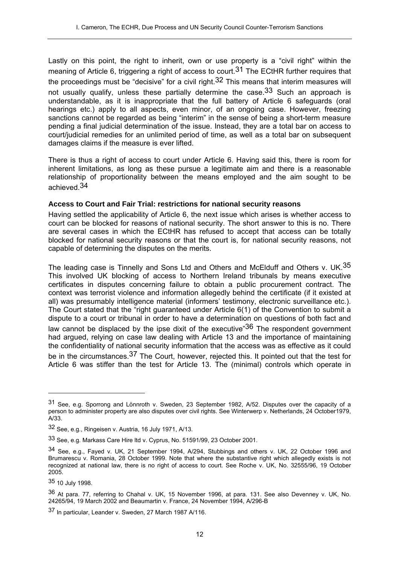Lastly on this point, the right to inherit, own or use property is a "civil right" within the meaning of Article 6, triggering a right of access to court.<sup>31</sup> The ECtHR further requires that the proceedings must be "decisive" for a civil right.<sup>32</sup> This means that interim measures will not usually qualify, unless these partially determine the case.  $33$  Such an approach is understandable, as it is inappropriate that the full battery of Article 6 safeguards (oral hearings etc.) apply to all aspects, even minor, of an ongoing case. However, freezing sanctions cannot be regarded as being "interim" in the sense of being a short-term measure pending a final judicial determination of the issue. Instead, they are a total bar on access to court/judicial remedies for an unlimited period of time, as well as a total bar on subsequent damages claims if the measure is ever lifted.

There is thus a right of access to court under Article 6. Having said this, there is room for inherent limitations, as long as these pursue a legitimate aim and there is a reasonable relationship of proportionality between the means employed and the aim sought to be achieved.34

### **Access to Court and Fair Trial: restrictions for national security reasons**

Having settled the applicability of Article 6, the next issue which arises is whether access to court can be blocked for reasons of national security. The short answer to this is no. There are several cases in which the ECtHR has refused to accept that access can be totally blocked for national security reasons or that the court is, for national security reasons, not capable of determining the disputes on the merits.

The leading case is Tinnelly and Sons Ltd and Others and McElduff and Others v. UK.<sup>35</sup> This involved UK blocking of access to Northern Ireland tribunals by means executive certificates in disputes concerning failure to obtain a public procurement contract. The context was terrorist violence and information allegedly behind the certificate (if it existed at all) was presumably intelligence material (informers' testimony, electronic surveillance etc.). The Court stated that the "right guaranteed under Article 6(1) of the Convention to submit a dispute to a court or tribunal in order to have a determination on questions of both fact and law cannot be displaced by the ipse dixit of the executive  $36$  The respondent government had argued, relying on case law dealing with Article 13 and the importance of maintaining the confidentiality of national security information that the access was as effective as it could be in the circumstances.<sup>37</sup> The Court, however, rejected this. It pointed out that the test for Article 6 was stiffer than the test for Article 13. The (minimal) controls which operate in

<sup>31</sup> See, e.g. Sporrong and Lönnroth v. Sweden, 23 September 1982, A/52. Disputes over the capacity of a person to administer property are also disputes over civil rights. See Winterwerp v. Netherlands, 24 October1979, A/33.

<sup>32</sup> See, e.g., Ringeisen v. Austria, 16 July 1971, A/13.

<sup>33</sup> See, e.g. Markass Care Hire ltd v. Cyprus, No. 51591/99, 23 October 2001.

<sup>34</sup> See, e.g., Fayed v. UK, 21 September 1994, A/294, Stubbings and others v. UK, 22 October 1996 and Brumarescu v. Romania, 28 October 1999. Note that where the substantive right which allegedly exists is not recognized at national law, there is no right of access to court. See Roche v. UK, No. 32555/96, 19 October 2005.

<sup>35 10</sup> July 1998.

<sup>36</sup> At para. 77, referring to Chahal v. UK, 15 November 1996, at para. 131. See also Devenney v. UK, No. 24265/94, 19 March 2002 and Beaumartin v. France, 24 November 1994, A/296-B

<sup>37</sup> In particular, Leander v. Sweden, 27 March 1987 A/116.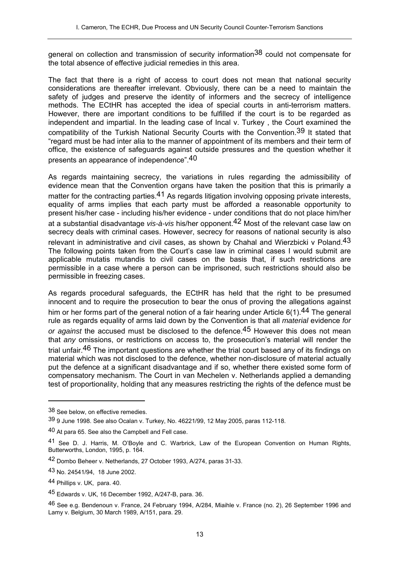general on collection and transmission of security information<sup>38</sup> could not compensate for the total absence of effective judicial remedies in this area.

The fact that there is a right of access to court does not mean that national security considerations are thereafter irrelevant. Obviously, there can be a need to maintain the safety of judges and preserve the identity of informers and the secrecy of intelligence methods. The ECtHR has accepted the idea of special courts in anti-terrorism matters. However, there are important conditions to be fulfilled if the court is to be regarded as independent and impartial. In the leading case of Incal v. Turkey , the Court examined the compatibility of the Turkish National Security Courts with the Convention.<sup>39</sup> It stated that "regard must be had inter alia to the manner of appointment of its members and their term of office, the existence of safeguards against outside pressures and the question whether it presents an appearance of independence".40

As regards maintaining secrecy, the variations in rules regarding the admissibility of evidence mean that the Convention organs have taken the position that this is primarily a matter for the contracting parties.<sup>41</sup> As regards litigation involving opposing private interests, equality of arms implies that each party must be afforded a reasonable opportunity to present his/her case - including his/her evidence - under conditions that do not place him/her at a substantial disadvantage *vis-à-vis* his/her opponent.42 Most of the relevant case law on secrecy deals with criminal cases. However, secrecy for reasons of national security is also relevant in administrative and civil cases, as shown by Chahal and Wierzbicki v Poland.<sup>43</sup> The following points taken from the Court's case law in criminal cases I would submit are applicable mutatis mutandis to civil cases on the basis that, if such restrictions are permissible in a case where a person can be imprisoned, such restrictions should also be permissible in freezing cases.

As regards procedural safeguards, the ECtHR has held that the right to be presumed innocent and to require the prosecution to bear the onus of proving the allegations against him or her forms part of the general notion of a fair hearing under Article  $6(1)$ .<sup>44</sup> The general rule as regards equality of arms laid down by the Convention is that all *material* evidence *for or against* the accused must be disclosed to the defence.45 However this does not mean that *any* omissions, or restrictions on access to, the prosecution's material will render the trial unfair.<sup>46</sup> The important questions are whether the trial court based any of its findings on material which was not disclosed to the defence, whether non-disclosure of material actually put the defence at a significant disadvantage and if so, whether there existed some form of compensatory mechanism. The Court in van Mechelen v. Netherlands applied a demanding test of proportionality, holding that any measures restricting the rights of the defence must be

<sup>38</sup> See below, on effective remedies.

<sup>39 9</sup> June 1998. See also Ocalan v. Turkey, No. 46221/99, 12 May 2005, paras 112-118.

<sup>40</sup> At para 65. See also the Campbell and Fell case.

<sup>41</sup> See D. J. Harris, M. O'Boyle and C. Warbrick, Law of the European Convention on Human Rights, Butterworths, London, 1995, p. 164.

<sup>42</sup> Dombo Beheer v. Netherlands, 27 October 1993, A/274, paras 31-33.

<sup>43</sup> No. 24541/94, 18 June 2002.

<sup>44</sup> Phillips v. UK, para. 40.

<sup>45</sup> Edwards v. UK, 16 December 1992, A/247-B, para. 36.

<sup>46</sup> See e.g. Bendenoun v. France, 24 February 1994, A/284, Miaihle v. France (no. 2), 26 September 1996 and Lamy v. Belgium, 30 March 1989, A/151, para. 29.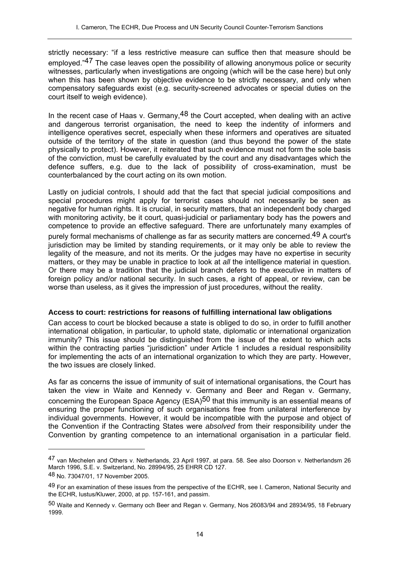strictly necessary: "if a less restrictive measure can suffice then that measure should be employed."<sup>47</sup> The case leaves open the possibility of allowing anonymous police or security witnesses, particularly when investigations are ongoing (which will be the case here) but only when this has been shown by objective evidence to be strictly necessary, and only when compensatory safeguards exist (e.g. security-screened advocates or special duties on the court itself to weigh evidence).

In the recent case of Haas v. Germany,  $48$  the Court accepted, when dealing with an active and dangerous terrorist organisation, the need to keep the indentity of informers and intelligence operatives secret, especially when these informers and operatives are situated outside of the territory of the state in question (and thus beyond the power of the state physically to protect). However, it reiterated that such evidence must not form the sole basis of the conviction, must be carefully evaluated by the court and any disadvantages which the defence suffers, e.g. due to the lack of possibility of cross-examination, must be counterbalanced by the court acting on its own motion.

Lastly on judicial controls, I should add that the fact that special judicial compositions and special procedures might apply for terrorist cases should not necessarily be seen as negative for human rights. It is crucial, in security matters, that an independent body charged with monitoring activity, be it court, quasi-judicial or parliamentary body has the powers and competence to provide an effective safeguard. There are unfortunately many examples of purely formal mechanisms of challenge as far as security matters are concerned.49 A court's jurisdiction may be limited by standing requirements, or it may only be able to review the legality of the measure, and not its merits. Or the judges may have no expertise in security matters, or they may be unable in practice to look at *all* the intelligence material in question. Or there may be a tradition that the judicial branch defers to the executive in matters of foreign policy and/or national security. In such cases, a right of appeal, or review, can be worse than useless, as it gives the impression of just procedures, without the reality.

### **Access to court: restrictions for reasons of fulfilling international law obligations**

Can access to court be blocked because a state is obliged to do so, in order to fulfill another international obligation, in particular, to uphold state, diplomatic or international organization immunity? This issue should be distinguished from the issue of the extent to which acts within the contracting parties "jurisdiction" under Article 1 includes a residual responsibility for implementing the acts of an international organization to which they are party. However, the two issues are closely linked.

As far as concerns the issue of immunity of suit of international organisations, the Court has taken the view in Waite and Kennedy v. Germany and Beer and Regan v. Germany, concerning the European Space Agency (ESA)<sup>50</sup> that this immunity is an essential means of ensuring the proper functioning of such organisations free from unilateral interference by individual governments. However, it would be incompatible with the purpose and object of the Convention if the Contracting States were *absolved* from their responsibility under the Convention by granting competence to an international organisation in a particular field.

<sup>47</sup> van Mechelen and Others v. Netherlands, 23 April 1997, at para. 58. See also Doorson v. Netherlandsm 26 March 1996, S.E. v. Switzerland, No. 28994/95, 25 EHRR CD 127.

<sup>48</sup> No. 73047/01, 17 November 2005.

<sup>49</sup> For an examination of these issues from the perspective of the ECHR, see I. Cameron, National Security and the ECHR, Iustus/Kluwer, 2000, at pp. 157-161, and passim.

<sup>50</sup> Waite and Kennedy v. Germany och Beer and Regan v. Germany, Nos 26083/94 and 28934/95, 18 February 1999.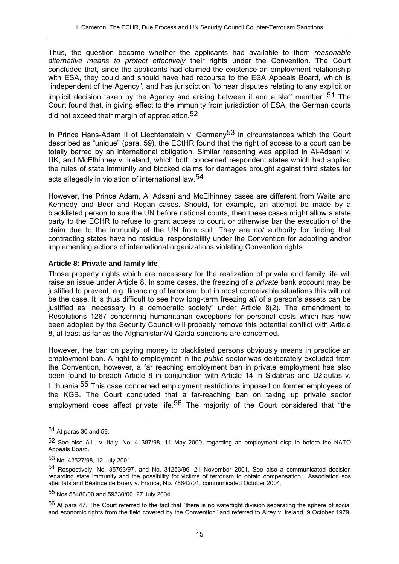Thus, the question became whether the applicants had available to them *reasonable alternative means to protect effectively* their rights under the Convention. The Court concluded that, since the applicants had claimed the existence an employment relationship with ESA, they could and should have had recourse to the ESA Appeals Board, which is "independent of the Agency", and has jurisdiction "to hear disputes relating to any explicit or implicit decision taken by the Agency and arising between it and a staff member".<sup>51</sup> The Court found that, in giving effect to the immunity from jurisdiction of ESA, the German courts did not exceed their margin of appreciation.<sup>52</sup>

In Prince Hans-Adam II of Liechtenstein v. Germany<sup>53</sup> in circumstances which the Court described as "unique" (para. 59), the ECtHR found that the right of access to a court can be totally barred by an international obligation. Similar reasoning was applied in Al-Adsani v. UK, and McElhinney v. Ireland, which both concerned respondent states which had applied the rules of state immunity and blocked claims for damages brought against third states for acts allegedly in violation of international law.54

However, the Prince Adam, Al Adsani and McElhinney cases are different from Waite and Kennedy and Beer and Regan cases. Should, for example, an attempt be made by a blacklisted person to sue the UN before national courts, then these cases might allow a state party to the ECHR to refuse to grant access to court, or otherwise bar the execution of the claim due to the immunity of the UN from suit. They are *not* authority for finding that contracting states have no residual responsibility under the Convention for adopting and/or implementing actions of international organizations violating Convention rights.

### **Article 8: Private and family life**

Those property rights which are necessary for the realization of private and family life will raise an issue under Article 8. In some cases, the freezing of a *private* bank account may be justified to prevent, e.g. financing of terrorism, but in most conceivable situations this will not be the case. It is thus difficult to see how long-term freezing *all* of a person's assets can be justified as "necessary in a democratic society" under Article 8(2). The amendment to Resolutions 1267 concerning humanitarian exceptions for personal costs which has now been adopted by the Security Council will probably remove this potential conflict with Article 8, at least as far as the Afghanistan/Al-Qaida sanctions are concerned.

However, the ban on paying money to blacklisted persons obviously means in practice an employment ban. A right to employment in the *public* sector was deliberately excluded from the Convention, however, a far reaching employment ban in private employment has also been found to breach Article 8 in conjunction with Article 14 in Sidabras and Džiautas v. Lithuania.55 This case concerned employment restrictions imposed on former employees of the KGB. The Court concluded that a far-reaching ban on taking up private sector employment does affect private life.<sup>56</sup> The majority of the Court considered that "the

<sup>51</sup> At paras 30 and 59.

<sup>52</sup> See also A.L. v. Italy, No. 41387/98, 11 May 2000, regarding an employment dispute before the NATO Appeals Board.

<sup>53</sup> No. 42527/98, 12 July 2001.

<sup>54</sup> Respectively, No. 35763/97, and No. 31253/96, 21 November 2001. See also a communicated decision regarding state immunity and the possibility for victims of terrorism to obtain compensation, Association sos attentats and Béatrice de Boëry v. France, No. 76642/01, communicated October 2004.

<sup>55</sup> Nos 55480/00 and 59330/00, 27 July 2004.

<sup>56</sup> At para 47. The Court referred to the fact that "there is no watertight division separating the sphere of social and economic rights from the field covered by the Convention" and referred to Airey v. Ireland, 9 October 1979,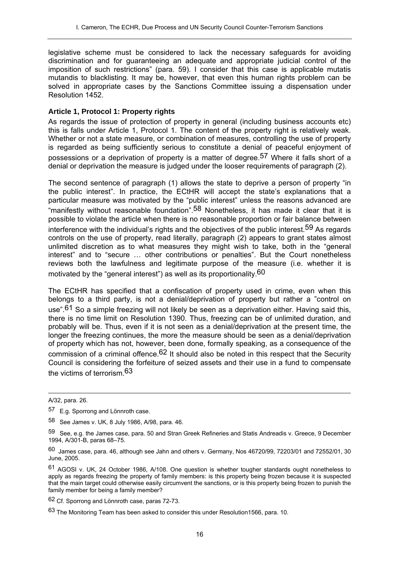legislative scheme must be considered to lack the necessary safeguards for avoiding discrimination and for guaranteeing an adequate and appropriate judicial control of the imposition of such restrictions" (para. 59). I consider that this case is applicable mutatis mutandis to blacklisting. It may be, however, that even this human rights problem can be solved in appropriate cases by the Sanctions Committee issuing a dispensation under Resolution 1452.

#### **Article 1, Protocol 1: Property rights**

As regards the issue of protection of property in general (including business accounts etc) this is falls under Article 1, Protocol 1. The content of the property right is relatively weak. Whether or not a state measure, or combination of measures, controlling the use of property is regarded as being sufficiently serious to constitute a denial of peaceful enjoyment of possessions or a deprivation of property is a matter of degree.<sup>57</sup> Where it falls short of a denial or deprivation the measure is judged under the looser requirements of paragraph (2).

The second sentence of paragraph (1) allows the state to deprive a person of property "in the public interest". In practice, the ECtHR will accept the state's explanations that a particular measure was motivated by the "public interest" unless the reasons advanced are "manifestly without reasonable foundation".58 Nonetheless, it has made it clear that it is possible to violate the article when there is no reasonable proportion or fair balance between interference with the individual's rights and the objectives of the public interest.<sup>59</sup> As regards controls on the use of property, read literally, paragraph (2) appears to grant states almost unlimited discretion as to what measures they might wish to take, both in the "general interest" and to "secure … other contributions or penalties". But the Court nonetheless reviews both the lawfulness and legitimate purpose of the measure (i.e. whether it is motivated by the "general interest") as well as its proportionality.60

The ECtHR has specified that a confiscation of property used in crime, even when this belongs to a third party, is not a denial/deprivation of property but rather a "control on use".<sup>61</sup> So a simple freezing will not likely be seen as a deprivation either. Having said this, there is no time limit on Resolution 1390. Thus, freezing can be of unlimited duration, and probably will be. Thus, even if it is not seen as a denial/deprivation at the present time, the longer the freezing continues, the more the measure should be seen as a denial/deprivation of property which has not, however, been done, formally speaking, as a consequence of the commission of a criminal offence.<sup>62</sup> It should also be noted in this respect that the Security Council is considering the forfeiture of seized assets and their use in a fund to compensate the victims of terrorism.63

 $\overline{a}$ 

62 Cf. Sporrong and Lönnroth case, paras 72-73.

A/32, para. 26.

<sup>57</sup> E.g. Sporrong and Lönnroth case.

<sup>58</sup> See James v. UK, 8 July 1986, A/98, para. 46.

<sup>59</sup> See, e.g. the James case, para. 50 and Stran Greek Refineries and Statis Andreadis v. Greece, 9 December 1994, A/301-B, paras 68–75.

<sup>60</sup> James case, para. 46, although see Jahn and others v. Germany, Nos 46720/99, 72203/01 and 72552/01, 30 June, 2005.

<sup>61</sup> AGOSI v. UK, 24 October 1986, A/108. One question is whether tougher standards ought nonetheless to apply as regards freezing the property of family members: is this property being frozen because it is suspected that the main target could otherwise easily circumvent the sanctions, or is this property being frozen to punish the family member for being a family member?

<sup>63</sup> The Monitoring Team has been asked to consider this under Resolution1566, para. 10.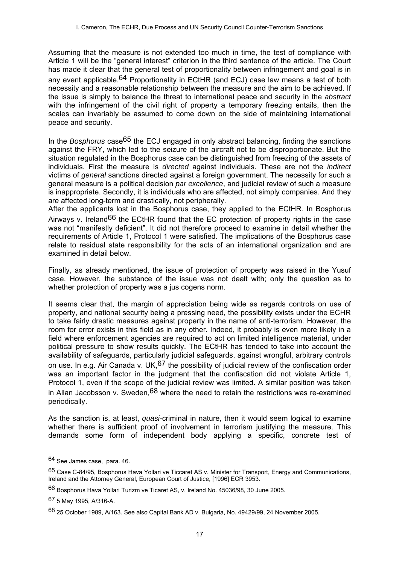Assuming that the measure is not extended too much in time, the test of compliance with Article 1 will be the "general interest" criterion in the third sentence of the article. The Court has made it clear that the general test of proportionality between infringement and goal is in any event applicable.<sup>64</sup> Proportionality in ECtHR (and ECJ) case law means a test of both necessity and a reasonable relationship between the measure and the aim to be achieved. If the issue is simply to balance the threat to international peace and security in the *abstract* with the infringement of the civil right of property a temporary freezing entails, then the scales can invariably be assumed to come down on the side of maintaining international peace and security.

In the *Bosphorus* case65 the ECJ engaged in only abstract balancing, finding the sanctions against the FRY, which led to the seizure of the aircraft not to be disproportionate. But the situation regulated in the Bosphorus case can be distinguished from freezing of the assets of individuals. First the measure is *directed* against individuals. These are not the *indirect* victims of *general* sanctions directed against a foreign government. The necessity for such a general measure is a political decision *par excellence*, and judicial review of such a measure is inappropriate. Secondly, it is individuals who are affected, not simply companies. And they are affected long-term and drastically, not peripherally.

After the applicants lost in the Bosphorus case, they applied to the ECtHR. In Bosphorus Airways v. Ireland<sup>66</sup> the ECtHR found that the EC protection of property rights in the case was not "manifestly deficient". It did not therefore proceed to examine in detail whether the requirements of Article 1, Protocol 1 were satisfied. The implications of the Bosphorus case relate to residual state responsibility for the acts of an international organization and are examined in detail below.

Finally, as already mentioned, the issue of protection of property was raised in the Yusuf case. However, the substance of the issue was not dealt with; only the question as to whether protection of property was a jus cogens norm.

It seems clear that, the margin of appreciation being wide as regards controls on use of property, and national security being a pressing need, the possibility exists under the ECHR to take fairly drastic measures against property in the name of anti-terrorism. However, the room for error exists in this field as in any other. Indeed, it probably is even more likely in a field where enforcement agencies are required to act on limited intelligence material, under political pressure to show results quickly. The ECtHR has tended to take into account the availability of safeguards, particularly judicial safeguards, against wrongful, arbitrary controls on use. In e.g. Air Canada v. UK,  $67$  the possibility of judicial review of the confiscation order was an important factor in the judgment that the confiscation did not violate Article 1, Protocol 1, even if the scope of the judicial review was limited. A similar position was taken in Allan Jacobsson v. Sweden,  $68$  where the need to retain the restrictions was re-examined periodically.

As the sanction is, at least, *quasi*-criminal in nature, then it would seem logical to examine whether there is sufficient proof of involvement in terrorism justifying the measure. This demands some form of independent body applying a specific, concrete test of

<sup>64</sup> See James case, para. 46.

<sup>65</sup> Case C-84/95, Bosphorus Hava Yollari ve Ticcaret AS v. Minister for Transport, Energy and Communications, Ireland and the Attorney General, European Court of Justice, [1996] ECR 3953.

<sup>66</sup> Bosphorus Hava Yollari Turizm ve Ticaret AS, v. Ireland No. 45036/98, 30 June 2005.

<sup>67 5</sup> May 1995, A/316-A.

<sup>68 25</sup> October 1989, A/163. See also Capital Bank AD v. Bulgaria, No. 49429/99, 24 November 2005.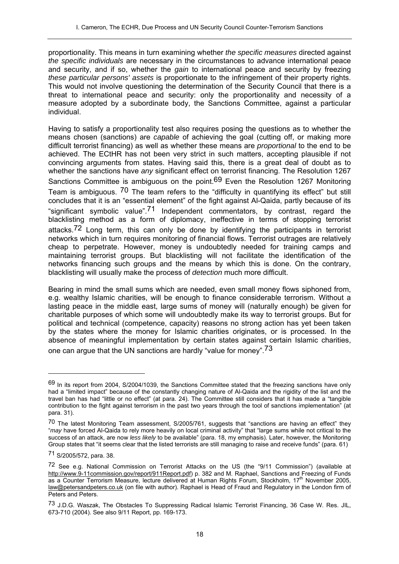proportionality. This means in turn examining whether *the specific measures* directed against *the specific individuals* are necessary in the circumstances to advance international peace and security, and if so, whether the *gain* to international peace and security by freezing *these particular persons' assets* is proportionate to the infringement of their property rights. This would not involve questioning the determination of the Security Council that there is a threat to international peace and security: only the proportionality and necessity of a measure adopted by a subordinate body, the Sanctions Committee, against a particular individual.

Having to satisfy a proportionality test also requires posing the questions as to whether the means chosen (sanctions) are *capable* of achieving the goal (cutting off, or making more difficult terrorist financing) as well as whether these means are *proportional* to the end to be achieved. The ECtHR has not been very strict in such matters, accepting plausible if not convincing arguments from states. Having said this, there is a great deal of doubt as to whether the sanctions have *any* significant effect on terrorist financing. The Resolution 1267 Sanctions Committee is ambiguous on the point.<sup>69</sup> Even the Resolution 1267 Monitoring Team is ambiguous. <sup>70</sup> The team refers to the "difficulty in quantifying its effect" but still concludes that it is an "essential element" of the fight against Al-Qaida, partly because of its "significant symbolic value".<sup>71</sup> Independent commentators, by contrast, regard the blacklisting method as a form of diplomacy, ineffective in terms of stopping terrorist attacks.<sup>72</sup> Long term, this can only be done by identifying the participants in terrorist networks which in turn requires monitoring of financial flows. Terrorist outrages are relatively cheap to perpetrate. However, money is undoubtedly needed for training camps and maintaining terrorist groups. But blacklisting will not facilitate the identification of the networks financing such groups and the means by which this is done. On the contrary, blacklisting will usually make the process of *detection* much more difficult.

Bearing in mind the small sums which are needed, even small money flows siphoned from, e.g. wealthy Islamic charities, will be enough to finance considerable terrorism. Without a lasting peace in the middle east, large sums of money will (naturally enough) be given for charitable purposes of which some will undoubtedly make its way to terrorist groups. But for political and technical (competence, capacity) reasons no strong action has yet been taken by the states where the money for Islamic charities originates, or is processed. In the absence of meaningful implementation by certain states against certain Islamic charities, one can argue that the UN sanctions are hardly "value for money".73

<sup>69</sup> In its report from 2004, S/2004/1039, the Sanctions Committee stated that the freezing sanctions have only had a "limited impact" because of the constantly changing nature of Al-Qaida and the rigidity of the list and the travel ban has had "little or no effect" (at para. 24). The Committee still considers that it has made a "tangible contribution to the fight against terrorism in the past two years through the tool of sanctions implementation" (at para. 31).

<sup>70</sup> The latest Monitoring Team assessment, S/2005/761, suggests that "sanctions are having an effect" they "*may* have forced Al-Qaida to rely more heavily on local criminal activity" that "large sums while not critical to the success of an attack, are now *less likely* to be available" (para. 18, my emphasis). Later, however, the Monitoring Group states that "it seems clear that the listed terrorists are still managing to raise and receive funds" (para. 61)

<sup>71</sup> S/2005/572, para. 38.

<sup>72</sup> See e.g. National Commission on Terrorist Attacks on the US (the "9/11 Commission") (available at http://www.9-11commission.gov/report/911Report.pdf) p. 382 and M. Raphael, Sanctions and Freezing of Funds as a Counter Terrorism Measure, lecture delivered at Human Rights Forum, Stockholm, 17<sup>th</sup> November 2005, law@petersandpeters.co.uk (on file with author). Raphael is Head of Fraud and Regulatory in the London firm of Peters and Peters.

<sup>73</sup> J.D.G. Waszak, The Obstacles To Suppressing Radical Islamic Terrorist Financing, 36 Case W. Res. JIL, 673-710 (2004). See also 9/11 Report, pp. 169-173.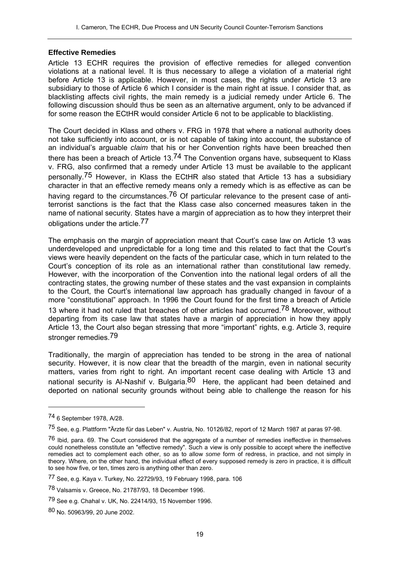#### **Effective Remedies**

Article 13 ECHR requires the provision of effective remedies for alleged convention violations at a national level. It is thus necessary to allege a violation of a material right before Article 13 is applicable. However, in most cases, the rights under Article 13 are subsidiary to those of Article 6 which I consider is the main right at issue. I consider that, as blacklisting affects civil rights, the main remedy is a judicial remedy under Article 6. The following discussion should thus be seen as an alternative argument, only to be advanced if for some reason the ECtHR would consider Article 6 not to be applicable to blacklisting.

The Court decided in Klass and others v. FRG in 1978 that where a national authority does not take sufficiently into account, or is not capable of taking into account, the substance of an individual's arguable *claim* that his or her Convention rights have been breached then there has been a breach of Article  $13^{74}$  The Convention organs have, subsequent to Klass v. FRG, also confirmed that a remedy under Article 13 must be available to the applicant personally.75 However, in Klass the ECtHR also stated that Article 13 has a subsidiary character in that an effective remedy means only a remedy which is as effective as can be having regard to the circumstances.<sup>76</sup> Of particular relevance to the present case of antiterrorist sanctions is the fact that the Klass case also concerned measures taken in the name of national security. States have a margin of appreciation as to how they interpret their obligations under the article.77

The emphasis on the margin of appreciation meant that Court's case law on Article 13 was underdeveloped and unpredictable for a long time and this related to fact that the Court's views were heavily dependent on the facts of the particular case, which in turn related to the Court's conception of its role as an international rather than constitutional law remedy. However, with the incorporation of the Convention into the national legal orders of all the contracting states, the growing number of these states and the vast expansion in complaints to the Court, the Court's international law approach has gradually changed in favour of a more "constitutional" approach. In 1996 the Court found for the first time a breach of Article 13 where it had not ruled that breaches of other articles had occurred.<sup>78</sup> Moreover, without departing from its case law that states have a margin of appreciation in how they apply Article 13, the Court also began stressing that more "important" rights, e.g. Article 3, require stronger remedies.<sup>79</sup>

Traditionally, the margin of appreciation has tended to be strong in the area of national security. However, it is now clear that the breadth of the margin, even in national security matters, varies from right to right. An important recent case dealing with Article 13 and national security is Al-Nashif v. Bulgaria.<sup>80</sup> Here, the applicant had been detained and deported on national security grounds without being able to challenge the reason for his

<sup>74 6</sup> September 1978, A/28.

<sup>75</sup> See, e.g. Plattform "Ärzte für das Leben" v. Austria, No. 10126/82, report of 12 March 1987 at paras 97-98.

 $76$  Ibid, para. 69. The Court considered that the aggregate of a number of remedies ineffective in themselves could nonetheless constitute an "effective remedy". Such a view is only possible to accept where the ineffective remedies act to complement each other, so as to allow *some* form of redress, in practice, and not simply in theory. Where, on the other hand, the individual effect of every supposed remedy is zero in practice, it is difficult to see how five, or ten, times zero is anything other than zero.

<sup>77</sup> See, e.g. Kaya v. Turkey, No. 22729/93, 19 February 1998, para. 106

<sup>78</sup> Valsamis v. Greece, No. 21787/93, 18 December 1996.

<sup>79</sup> See e.g. Chahal v. UK, No. 22414/93, 15 November 1996.

<sup>80</sup> No. 50963/99, 20 June 2002.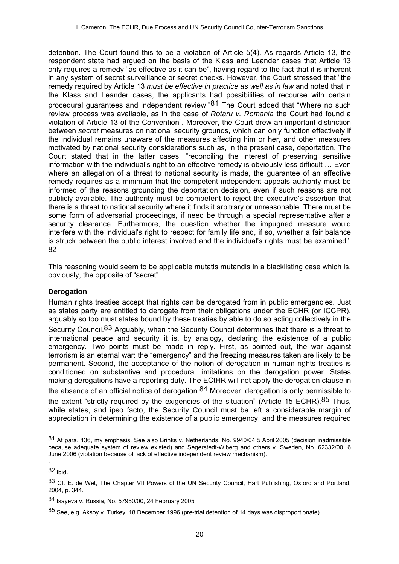detention. The Court found this to be a violation of Article 5(4). As regards Article 13, the respondent state had argued on the basis of the Klass and Leander cases that Article 13 only requires a remedy "as effective as it can be", having regard to the fact that it is inherent in any system of secret surveillance or secret checks. However, the Court stressed that "the remedy required by Article 13 *must be effective in practice as well as in law* and noted that in the Klass and Leander cases, the applicants had possibilities of recourse with certain procedural guarantees and independent review."<sup>81</sup> The Court added that "Where no such review process was available, as in the case of *Rotaru v. Romania* the Court had found a violation of Article 13 of the Convention". Moreover, the Court drew an important distinction between *secret* measures on national security grounds, which can only function effectively if the individual remains unaware of the measures affecting him or her, and other measures motivated by national security considerations such as, in the present case, deportation. The Court stated that in the latter cases, "reconciling the interest of preserving sensitive information with the individual's right to an effective remedy is obviously less difficult … Even where an allegation of a threat to national security is made, the guarantee of an effective remedy requires as a minimum that the competent independent appeals authority must be informed of the reasons grounding the deportation decision, even if such reasons are not publicly available. The authority must be competent to reject the executive's assertion that there is a threat to national security where it finds it arbitrary or unreasonable. There must be some form of adversarial proceedings, if need be through a special representative after a security clearance. Furthermore, the question whether the impugned measure would interfere with the individual's right to respect for family life and, if so, whether a fair balance is struck between the public interest involved and the individual's rights must be examined". 82

This reasoning would seem to be applicable mutatis mutandis in a blacklisting case which is, obviously, the opposite of "secret".

### **Derogation**

Human rights treaties accept that rights can be derogated from in public emergencies. Just as states party are entitled to derogate from their obligations under the ECHR (or ICCPR), arguably so too must states bound by these treaties by able to do so acting collectively in the Security Council.<sup>83</sup> Arguably, when the Security Council determines that there is a threat to international peace and security it is, by analogy, declaring the existence of a public emergency. Two points must be made in reply. First, as pointed out, the war against terrorism is an eternal war: the "emergency" and the freezing measures taken are likely to be permanent. Second, the acceptance of the notion of derogation in human rights treaties is conditioned on substantive and procedural limitations on the derogation power. States making derogations have a reporting duty. The ECtHR will not apply the derogation clause in the absence of an official notice of derogation.<sup>84</sup> Moreover, derogation is only permissible to the extent "strictly required by the exigencies of the situation" (Article 15 ECHR). 85 Thus. while states, and ipso facto, the Security Council must be left a considerable margin of appreciation in determining the existence of a public emergency, and the measures required

 $\overline{a}$ 

.

<sup>81</sup> At para. 136, my emphasis. See also Brinks v. Netherlands, No. 9940/04 5 April 2005 (decision inadmissible because adequate system of review existed) and Segerstedt-Wiberg and others v. Sweden, No. 62332/00, 6 June 2006 (violation because of lack of effective independent review mechanism).

 $82$  Ibid.

<sup>83</sup> Cf. E. de Wet. The Chapter VII Powers of the UN Security Council, Hart Publishing, Oxford and Portland, 2004, p. 344.

<sup>84</sup> Isayeva v. Russia, No. 57950/00, 24 February 2005

<sup>85</sup> See, e.g. Aksoy v. Turkey, 18 December 1996 (pre-trial detention of 14 days was disproportionate).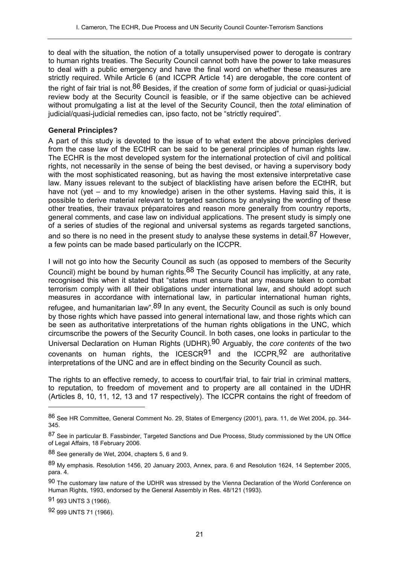to deal with the situation, the notion of a totally unsupervised power to derogate is contrary to human rights treaties. The Security Council cannot both have the power to take measures to deal with a public emergency and have the final word on whether these measures are strictly required. While Article 6 (and ICCPR Article 14) are derogable, the core content of the right of fair trial is not.86 Besides, if the creation of *some* form of judicial or quasi-judicial review body at the Security Council is feasible, or if the same objective can be achieved without promulgating a list at the level of the Security Council, then the *total* elimination of judicial/quasi-judicial remedies can, ipso facto, not be "strictly required".

#### **General Principles?**

A part of this study is devoted to the issue of to what extent the above principles derived from the case law of the ECtHR can be said to be general principles of human rights law. The ECHR is the most developed system for the international protection of civil and political rights, not necessarily in the sense of being the best devised, or having a supervisory body with the most sophisticated reasoning, but as having the most extensive interpretative case law. Many issues relevant to the subject of blacklisting have arisen before the ECtHR, but have not (yet – and to my knowledge) arisen in the other systems. Having said this, it is possible to derive material relevant to targeted sanctions by analysing the wording of these other treaties, their travaux préparatoires and reason more generally from country reports, general comments, and case law on individual applications. The present study is simply one of a series of studies of the regional and universal systems as regards targeted sanctions, and so there is no need in the present study to analyse these systems in detail.<sup>87</sup> However, a few points can be made based particularly on the ICCPR.

I will not go into how the Security Council as such (as opposed to members of the Security Council) might be bound by human rights.<sup>88</sup> The Security Council has implicitly, at any rate, recognised this when it stated that "states must ensure that any measure taken to combat terrorism comply with all their obligations under international law, and should adopt such measures in accordance with international law, in particular international human rights, refugee, and humanitarian law".<sup>89</sup> In any event, the Security Council as such is only bound by those rights which have passed into general international law, and those rights which can be seen as authoritative interpretations of the human rights obligations in the UNC, which circumscribe the powers of the Security Council. In both cases, one looks in particular to the Universal Declaration on Human Rights (UDHR).90 Arguably, the *core contents* of the two covenants on human rights, the ICESCR $91$  and the ICCPR,  $92$  are authoritative interpretations of the UNC and are in effect binding on the Security Council as such.

The rights to an effective remedy, to access to court/fair trial, to fair trial in criminal matters, to reputation, to freedom of movement and to property are all contained in the UDHR (Articles 8, 10, 11, 12, 13 and 17 respectively). The ICCPR contains the right of freedom of

91 993 UNTS 3 (1966).

 $\overline{a}$ 

92 999 UNTS 71 (1966).

<sup>86</sup> See HR Committee, General Comment No. 29, States of Emergency (2001), para. 11, de Wet 2004, pp. 344- 345.

<sup>87</sup> See in particular B. Fassbinder, Targeted Sanctions and Due Process, Study commissioned by the UN Office of Legal Affairs, 18 February 2006.

<sup>88</sup> See generally de Wet, 2004, chapters 5, 6 and 9.

<sup>89</sup> My emphasis. Resolution 1456, 20 January 2003, Annex, para. 6 and Resolution 1624, 14 September 2005, para. 4.

<sup>90</sup> The customary law nature of the UDHR was stressed by the Vienna Declaration of the World Conference on Human Rights, 1993, endorsed by the General Assembly in Res. 48/121 (1993).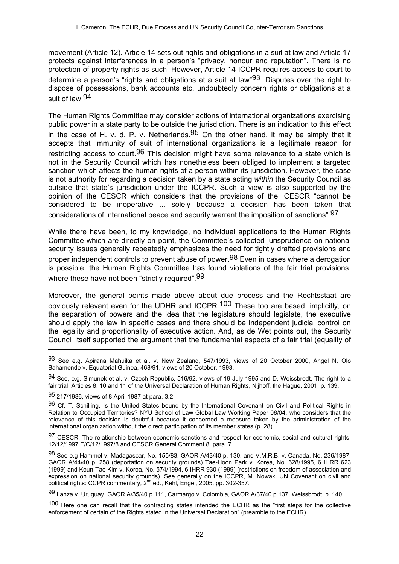movement (Article 12). Article 14 sets out rights and obligations in a suit at law and Article 17 protects against interferences in a person's "privacy, honour and reputation". There is no protection of property rights as such. However, Article 14 ICCPR requires access to court to determine a person's "rights and obligations at a suit at law"<sup>93</sup>. Disputes over the right to dispose of possessions, bank accounts etc. undoubtedly concern rights or obligations at a suit of law.94

The Human Rights Committee may consider actions of international organizations exercising public power in a state party to be outside the jurisdiction. There is an indication to this effect in the case of H. v. d. P. v. Netherlands.  $95$  On the other hand, it may be simply that it accepts that immunity of suit of international organizations is a legitimate reason for restricting access to court.<sup>96</sup> This decision might have some relevance to a state which is not in the Security Council which has nonetheless been obliged to implement a targeted sanction which affects the human rights of a person within its jurisdiction. However, the case is not authority for regarding a decision taken by a state acting *within* the Security Council as outside that state's jurisdiction under the ICCPR. Such a view is also supported by the opinion of the CESCR which considers that the provisions of the ICESCR "cannot be considered to be inoperative ... solely because a decision has been taken that considerations of international peace and security warrant the imposition of sanctions".97

While there have been, to my knowledge, no individual applications to the Human Rights Committee which are directly on point, the Committee's collected jurisprudence on national security issues generally repeatedly emphasizes the need for tightly drafted provisions and proper independent controls to prevent abuse of power.<sup>98</sup> Even in cases where a derogation is possible, the Human Rights Committee has found violations of the fair trial provisions, where these have not been "strictly required". 99

Moreover, the general points made above about due process and the Rechtsstaat are obviously relevant even for the UDHR and ICCPR.100 These too are based, implicitly, on the separation of powers and the idea that the legislature should legislate, the executive should apply the law in specific cases and there should be independent judicial control on the legality and proportionality of executive action. And, as de Wet points out, the Security Council itself supported the argument that the fundamental aspects of a fair trial (equality of

 $\overline{a}$ 

99 Lanza v. Uruguay, GAOR A/35/40 p.111, Carmargo v. Colombia, GAOR A/37/40 p.137, Weissbrodt, p. 140.

<sup>93</sup> See e.g. Apirana Mahuika et al. v. New Zealand, 547/1993, views of 20 October 2000, Angel N. Olo Bahamonde v. Equatorial Guinea, 468/91, views of 20 October, 1993.

<sup>94</sup> See, e.g. Simunek et al. v. Czech Republic, 516/92, views of 19 July 1995 and D. Weissbrodt, The right to a fair trial: Articles 8, 10 and 11 of the Universal Declaration of Human Rights, Nijhoff, the Hague, 2001, p. 139.

<sup>95 217/1986,</sup> views of 8 April 1987 at para. 3.2.

<sup>96</sup> Cf. T. Schilling, Is the United States bound by the International Covenant on Civil and Political Rights in Relation to Occupied Territories? NYU School of Law Global Law Working Paper 08/04, who considers that the relevance of this decision is doubtful because it concerned a measure taken by the administration of the international organization without the direct participation of its member states (p. 28).

<sup>97</sup> CESCR, The relationship between economic sanctions and respect for economic, social and cultural rights: 12/12/1997.E/C/12/1997/8 and CESCR General Comment 8, para. 7.

<sup>98</sup> See e.g Hammel v. Madagascar, No. 155/83, GAOR A/43/40 p. 130, and V.M.R.B. v. Canada, No. 236/1987, GAOR A/44/40 p. 258 (deportation on security grounds) Tae-Hoon Park v. Korea, No. 628/1995, 6 IHRR 623 (1999) and Keun-Tae Kim v. Korea, No. 574/1994, 6 IHRR 930 (1999) (restrictions on freedom of association and expression on national security grounds). See generally on the ICCPR, M. Nowak, UN Covenant on civil and political rights: CCPR commentary, 2nd ed., Kehl, Engel, 2005, pp. 302-357.

<sup>100</sup> Here one can recall that the contracting states intended the ECHR as the "first steps for the collective enforcement of certain of the Rights stated in the Universal Declaration" (preamble to the ECHR).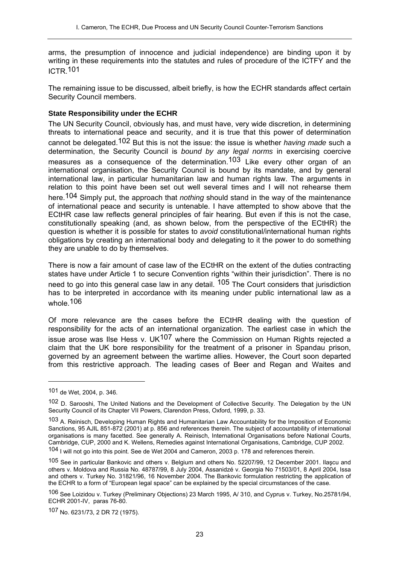arms, the presumption of innocence and judicial independence) are binding upon it by writing in these requirements into the statutes and rules of procedure of the ICTFY and the ICTR.101

The remaining issue to be discussed, albeit briefly, is how the ECHR standards affect certain Security Council members.

## **State Responsibility under the ECHR**

The UN Security Council, obviously has, and must have, very wide discretion, in determining threats to international peace and security, and it is true that this power of determination cannot be delegated.102 But this is not the issue: the issue is whether *having made* such a determination, the Security Council is *bound by any legal norms* in exercising coercive measures as a consequence of the determination.<sup>103</sup> Like every other organ of an international organisation, the Security Council is bound by its mandate, and by general international law, in particular humanitarian law and human rights law. The arguments in relation to this point have been set out well several times and I will not rehearse them here.104 Simply put, the approach that *nothing* should stand in the way of the maintenance of international peace and security is untenable. I have attempted to show above that the ECtHR case law reflects general principles of fair hearing. But even if this is not the case, constitutionally speaking (and, as shown below, from the perspective of the ECtHR) the question is whether it is possible for states to *avoid* constitutional/international human rights obligations by creating an international body and delegating to it the power to do something they are unable to do by themselves.

There is now a fair amount of case law of the ECtHR on the extent of the duties contracting states have under Article 1 to secure Convention rights "within their jurisdiction". There is no need to go into this general case law in any detail. <sup>105</sup> The Court considers that jurisdiction has to be interpreted in accordance with its meaning under public international law as a whole 106

Of more relevance are the cases before the ECtHR dealing with the question of responsibility for the acts of an international organization. The earliest case in which the issue arose was Ilse Hess v. UK $107$  where the Commission on Human Rights rejected a claim that the UK bore responsibility for the treatment of a prisoner in Spandau prison, governed by an agreement between the wartime allies. However, the Court soon departed from this restrictive approach. The leading cases of Beer and Regan and Waites and

<sup>101</sup> de Wet, 2004, p. 346.

<sup>102</sup> D. Sarooshi, The United Nations and the Development of Collective Security. The Delegation by the UN Security Council of its Chapter VII Powers, Clarendon Press, Oxford, 1999, p. 33.

<sup>103</sup> A. Reinisch, Developing Human Rights and Humanitarian Law Accountability for the Imposition of Economic Sanctions, 95 AJIL 851-872 (2001) at p. 856 and references therein. The subject of accountability of international organisations is many facetted. See generally A. Reinisch, International Organisations before National Courts, Cambridge, CUP, 2000 and K. Wellens, Remedies against International Organisations, Cambridge, CUP 2002.

<sup>104</sup> I will not go into this point. See de Wet 2004 and Cameron, 2003 p. 178 and references therein.

<sup>105</sup> See in particular Bankovic and others v. Belgium and others No. 52207/99, 12 December 2001. Ilaşcu and others v. Moldova and Russia No. 48787/99, 8 July 2004, Assanidzé v. Georgia No 71503/01, 8 April 2004, Issa and others v. Turkey No. 31821/96, 16 November 2004. The Bankovic formulation restricting the application of the ECHR to a form of "European legal space" can be explained by the special circumstances of the case.

<sup>106</sup> See Loizidou v. Turkey (Preliminary Objections) 23 March 1995, A/ 310, and Cyprus v. Turkey, No.25781/94, ECHR 2001-IV, paras 76-80.

<sup>107</sup> No. 6231/73, 2 DR 72 (1975).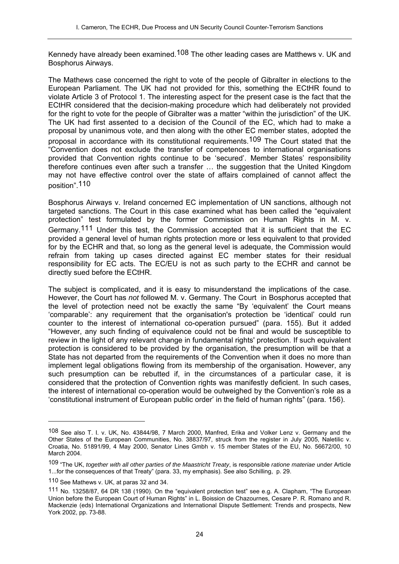Kennedy have already been examined.<sup>108</sup> The other leading cases are Matthews v. UK and Bosphorus Airways.

The Mathews case concerned the right to vote of the people of Gibralter in elections to the European Parliament. The UK had not provided for this, something the ECtHR found to violate Article 3 of Protocol 1. The interesting aspect for the present case is the fact that the ECtHR considered that the decision-making procedure which had deliberately not provided for the right to vote for the people of Gibralter was a matter "within the jurisdiction" of the UK. The UK had first assented to a decision of the Council of the EC, which had to make a proposal by unanimous vote, and then along with the other EC member states, adopted the proposal in accordance with its constitutional requirements.109 The Court stated that the "Convention does not exclude the transfer of competences to international organisations provided that Convention rights continue to be 'secured'. Member States' responsibility therefore continues even after such a transfer … the suggestion that the United Kingdom may not have effective control over the state of affairs complained of cannot affect the position".110

Bosphorus Airways v. Ireland concerned EC implementation of UN sanctions, although not targeted sanctions. The Court in this case examined what has been called the "equivalent protection" test formulated by the former Commission on Human Rights in M. v. Germany.111 Under this test, the Commission accepted that it is sufficient that the EC provided a general level of human rights protection more or less equivalent to that provided for by the ECHR and that, so long as the general level is adequate, the Commission would refrain from taking up cases directed against EC member states for their residual responsibility for EC acts. The EC/EU is not as such party to the ECHR and cannot be directly sued before the ECtHR.

The subject is complicated, and it is easy to misunderstand the implications of the case. However, the Court has *not* followed M. v. Germany. The Court in Bosphorus accepted that the level of protection need not be exactly the same "By 'equivalent' the Court means 'comparable': any requirement that the organisation's protection be 'identical' could run counter to the interest of international co-operation pursued" (para. 155). But it added "However, any such finding of equivalence could not be final and would be susceptible to review in the light of any relevant change in fundamental rights' protection. If such equivalent protection is considered to be provided by the organisation, the presumption will be that a State has not departed from the requirements of the Convention when it does no more than implement legal obligations flowing from its membership of the organisation. However, any such presumption can be rebutted if, in the circumstances of a particular case, it is considered that the protection of Convention rights was manifestly deficient. In such cases, the interest of international co-operation would be outweighed by the Convention's role as a 'constitutional instrument of European public order' in the field of human rights" (para. 156).

<sup>108</sup> See also T. I. v. UK, No. 43844/98, 7 March 2000, Manfred, Erika and Volker Lenz v. Germany and the Other States of the European Communities, No. 38837/97, struck from the register in July 2005, Naletilic v. Croatia, No. 51891/99, 4 May 2000, Senator Lines Gmbh v. 15 member States of the EU, No. 56672/00, 10 March 2004.

<sup>109 &</sup>quot;The UK, *together with all other parties of the Maastricht Treaty*, is responsible *ratione materiae* under Article 1...for the consequences of that Treaty" (para. 33, my emphasis). See also Schilling, p. 29.

<sup>110</sup> See Mathews v. UK, at paras 32 and 34.

<sup>111</sup> No. 13258/87, 64 DR 138 (1990). On the "equivalent protection test" see e.g. A. Clapham, "The European Union before the European Court of Human Rights" in L. Boission de Chazournes, Cesare P. R. Romano and R. Mackenzie (eds) International Organizations and International Dispute Settlement: Trends and prospects, New York 2002, pp. 73-88.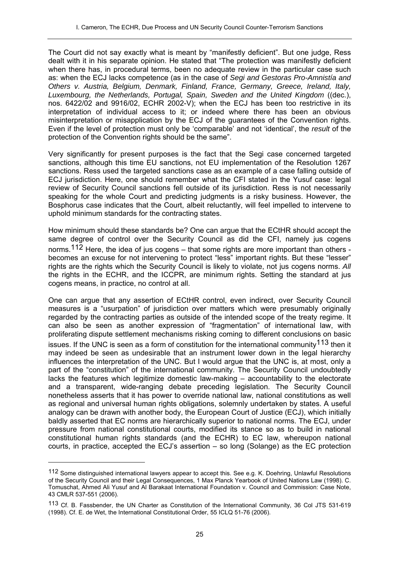The Court did not say exactly what is meant by "manifestly deficient". But one judge, Ress dealt with it in his separate opinion. He stated that "The protection was manifestly deficient when there has, in procedural terms, been no adequate review in the particular case such as: when the ECJ lacks competence (as in the case of *Segi and Gestoras Pro-Amnistía and Others v. Austria, Belgium, Denmark, Finland, France, Germany, Greece, Ireland, Italy, Luxembourg, the Netherlands, Portugal, Spain, Sweden and the United Kingdom* ((dec.), nos. 6422/02 and 9916/02, ECHR 2002-V); when the ECJ has been too restrictive in its interpretation of individual access to it; or indeed where there has been an obvious misinterpretation or misapplication by the ECJ of the guarantees of the Convention rights. Even if the level of protection must only be 'comparable' and not 'identical', the *result* of the protection of the Convention rights should be the same".

Very significantly for present purposes is the fact that the Segi case concerned targeted sanctions, although this time EU sanctions, not EU implementation of the Resolution 1267 sanctions. Ress used the targeted sanctions case as an example of a case falling outside of ECJ jurisdiction. Here, one should remember what the CFI stated in the Yusuf case: legal review of Security Council sanctions fell outside of its jurisdiction. Ress is not necessarily speaking for the whole Court and predicting judgments is a risky business. However, the Bosphorus case indicates that the Court, albeit reluctantly, will feel impelled to intervene to uphold minimum standards for the contracting states.

How minimum should these standards be? One can argue that the ECtHR should accept the same degree of control over the Security Council as did the CFI, namely jus cogens norms.<sup>112</sup> Here, the idea of jus cogens – that some rights are more important than others becomes an excuse for not intervening to protect "less" important rights. But these "lesser" rights are the rights which the Security Council is likely to violate, not jus cogens norms. *All* the rights in the ECHR, and the ICCPR, are minimum rights. Setting the standard at jus cogens means, in practice, no control at all.

One can argue that any assertion of ECtHR control, even indirect, over Security Council measures is a "usurpation" of jurisdiction over matters which were presumably originally regarded by the contracting parties as outside of the intended scope of the treaty regime. It can also be seen as another expression of "fragmentation" of international law, with proliferating dispute settlement mechanisms risking coming to different conclusions on basic issues. If the UNC is seen as a form of constitution for the international community<sup>113</sup> then it may indeed be seen as undesirable that an instrument lower down in the legal hierarchy influences the interpretation of the UNC. But I would argue that the UNC is, at most, only a part of the "constitution" of the international community. The Security Council undoubtedly lacks the features which legitimize domestic law-making – accountability to the electorate and a transparent, wide-ranging debate preceding legislation. The Security Council nonetheless asserts that it has power to override national law, national constitutions as well as regional and universal human rights obligations, solemnly undertaken by states. A useful analogy can be drawn with another body, the European Court of Justice (ECJ), which initially baldly asserted that EC norms are hierarchically superior to national norms. The ECJ, under pressure from national constitutional courts, modified its stance so as to build in national constitutional human rights standards (and the ECHR) to EC law, whereupon national courts, in practice, accepted the ECJ's assertion – so long (Solange) as the EC protection

<sup>112</sup> Some distinguished international lawyers appear to accept this. See e.g. K. Doehring, Unlawful Resolutions of the Security Council and their Legal Consequences, 1 Max Planck Yearbook of United Nations Law (1998). C. Tomuschat, Ahmed Ali Yusuf and Al Barakaat International Foundation v. Council and Commission: Case Note, 43 CMLR 537-551 (2006).

<sup>113</sup> Cf. B. Fassbender, the UN Charter as Constitution of the International Community, 36 Col JTS 531-619 (1998). Cf. E. de Wet, the International Constitutional Order, 55 ICLQ 51-76 (2006).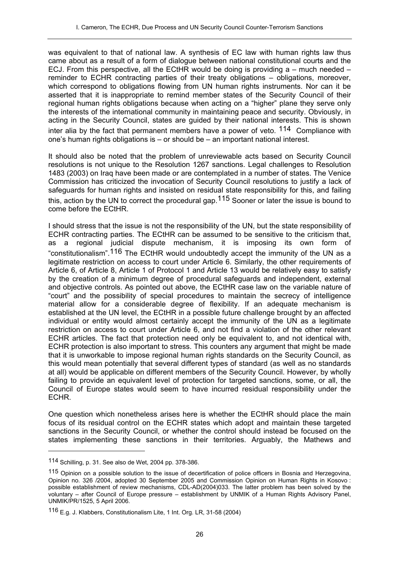was equivalent to that of national law. A synthesis of EC law with human rights law thus came about as a result of a form of dialogue between national constitutional courts and the ECJ. From this perspective, all the ECtHR would be doing is providing  $a$  – much needed – reminder to ECHR contracting parties of their treaty obligations – obligations, moreover, which correspond to obligations flowing from UN human rights instruments. Nor can it be asserted that it is inappropriate to remind member states of the Security Council of their regional human rights obligations because when acting on a "higher" plane they serve only the interests of the international community in maintaining peace and security. Obviously, in acting in the Security Council, states are guided by their national interests. This is shown inter alia by the fact that permanent members have a power of veto.  $114$  Compliance with one's human rights obligations is – or should be – an important national interest.

It should also be noted that the problem of unreviewable acts based on Security Council resolutions is not unique to the Resolution 1267 sanctions. Legal challenges to Resolution 1483 (2003) on Iraq have been made or are contemplated in a number of states. The Venice Commission has criticized the invocation of Security Council resolutions to justify a lack of safeguards for human rights and insisted on residual state responsibility for this, and failing this, action by the UN to correct the procedural gap.<sup>115</sup> Sooner or later the issue is bound to come before the ECtHR.

I should stress that the issue is not the responsibility of the UN, but the state responsibility of ECHR contracting parties. The ECtHR can be assumed to be sensitive to the criticism that, as a regional judicial dispute mechanism, it is imposing its own form of "constitutionalism".116 The ECtHR would undoubtedly accept the immunity of the UN as a legitimate restriction on access to court under Article 6. Similarly, the other requirements of Article 6, of Article 8, Article 1 of Protocol 1 and Article 13 would be relatively easy to satisfy by the creation of a minimum degree of procedural safeguards and independent, external and objective controls. As pointed out above, the ECtHR case law on the variable nature of "court" and the possibility of special procedures to maintain the secrecy of intelligence material allow for a considerable degree of flexibility. If an adequate mechanism is established at the UN level, the ECtHR in a possible future challenge brought by an affected individual or entity would almost certainly accept the immunity of the UN as a legitimate restriction on access to court under Article 6, and not find a violation of the other relevant ECHR articles. The fact that protection need only be equivalent to, and not identical with, ECHR protection is also important to stress. This counters any argument that might be made that it is unworkable to impose regional human rights standards on the Security Council, as this would mean potentially that several different types of standard (as well as no standards at all) would be applicable on different members of the Security Council. However, by wholly failing to provide an equivalent level of protection for targeted sanctions, some, or all, the Council of Europe states would seem to have incurred residual responsibility under the ECHR.

One question which nonetheless arises here is whether the ECtHR should place the main focus of its residual control on the ECHR states which adopt and maintain these targeted sanctions in the Security Council, or whether the control should instead be focused on the states implementing these sanctions in their territories. Arguably, the Mathews and

<sup>114</sup> Schilling, p. 31. See also de Wet, 2004 pp. 378-386.

<sup>115</sup> Opinion on a possible solution to the issue of decertification of police officers in Bosnia and Herzegovina, Opinion no. 326 /2004, adopted 30 September 2005 and Commission Opinion on Human Rights in Kosovo : possible establishment of review mechanisms, CDL-AD(2004)033. The latter problem has been solved by the voluntary – after Council of Europe pressure – establishment by UNMIK of a Human Rights Advisory Panel, UNMIK/PR/1525, 5 April 2006.

<sup>116</sup> E.g. J. Klabbers, Constitutionalism Lite, 1 Int. Org. LR, 31-58 (2004)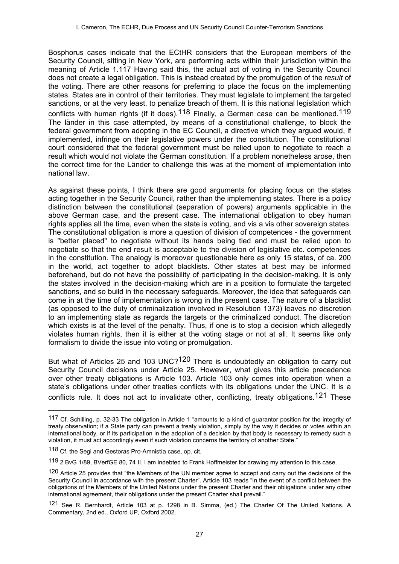Bosphorus cases indicate that the ECtHR considers that the European members of the Security Council, sitting in New York, are performing acts within their jurisdiction within the meaning of Article 1.117 Having said this, the actual act of voting in the Security Council does not create a legal obligation. This is instead created by the promulgation of the *result* of the voting. There are other reasons for preferring to place the focus on the implementing states. States are in control of their territories. They must legislate to implement the targeted sanctions, or at the very least, to penalize breach of them. It is this national legislation which conflicts with human rights (if it does).<sup>118</sup> Finally, a German case can be mentioned.<sup>119</sup> The länder in this case attempted, by means of a constitutional challenge, to block the federal government from adopting in the EC Council, a directive which they argued would, if implemented, infringe on their legislative powers under the constitution. The constitutional court considered that the federal government must be relied upon to negotiate to reach a result which would not violate the German constitution. If a problem nonetheless arose, then the correct time for the Länder to challenge this was at the moment of implementation into national law.

As against these points, I think there are good arguments for placing focus on the states acting together in the Security Council, rather than the implementing states. There is a policy distinction between the constitutional (separation of powers) arguments applicable in the above German case, and the present case. The international obligation to obey human rights applies all the time, even when the state is voting, and vis a vis other sovereign states. The constitutional obligation is more a question of division of competences - the government is "better placed" to negotiate without its hands being tied and must be relied upon to negotiate so that the end result is acceptable to the division of legislative etc. competences in the constitution. The analogy is moreover questionable here as only 15 states, of ca. 200 in the world, act together to adopt blacklists. Other states at best may be informed beforehand, but do not have the possibility of participating in the decision-making. It is only the states involved in the decision-making which are in a position to formulate the targeted sanctions, and so build in the necessary safeguards. Moreover, the idea that safeguards can come in at the time of implementation is wrong in the present case. The nature of a blacklist (as opposed to the duty of criminalization involved in Resolution 1373) leaves no discretion to an implementing state as regards the targets or the criminalized conduct. The discretion which exists is at the level of the penalty. Thus, if one is to stop a decision which allegedly violates human rights, then it is either at the voting stage or not at all. It seems like only formalism to divide the issue into voting or promulgation.

But what of Articles 25 and 103 UNC?<sup>120</sup> There is undoubtedly an obligation to carry out Security Council decisions under Article 25. However, what gives this article precedence over other treaty obligations is Article 103. Article 103 only comes into operation when a state's obligations under other treaties conflicts with its obligations under the UNC. It is a conflicts rule. It does not act to invalidate other, conflicting, treaty obligations.<sup>121</sup> These

<sup>117</sup> Cf. Schilling, p. 32-33 The obligation in Article 1 "amounts to a kind of guarantor position for the integrity of treaty observation; if a State party can prevent a treaty violation, simply by the way it decides or votes within an international body, or if its participation in the adoption of a decision by that body is necessary to remedy such a violation, it must act accordingly even if such violation concerns the territory of another State."

<sup>118</sup> Cf. the Segi and Gestoras Pro-Amnistía case, op. cit.

<sup>119 2</sup> BvG 1/89, BVerfGE 80, 74 II. I am indebted to Frank Hoffmeister for drawing my attention to this case.

<sup>120</sup> Article 25 provides that "the Members of the UN member agree to accept and carry out the decisions of the Security Council in accordance with the present Charter". Article 103 reads "In the event of a conflict between the obligations of the Members of the United Nations under the present Charter and their obligations under any other international agreement, their obligations under the present Charter shall prevail."

<sup>121</sup> See R. Bernhardt, Article 103 at p. 1298 in B. Simma, (ed.) The Charter Of The United Nations. A Commentary, 2nd ed., Oxford UP, Oxford 2002.